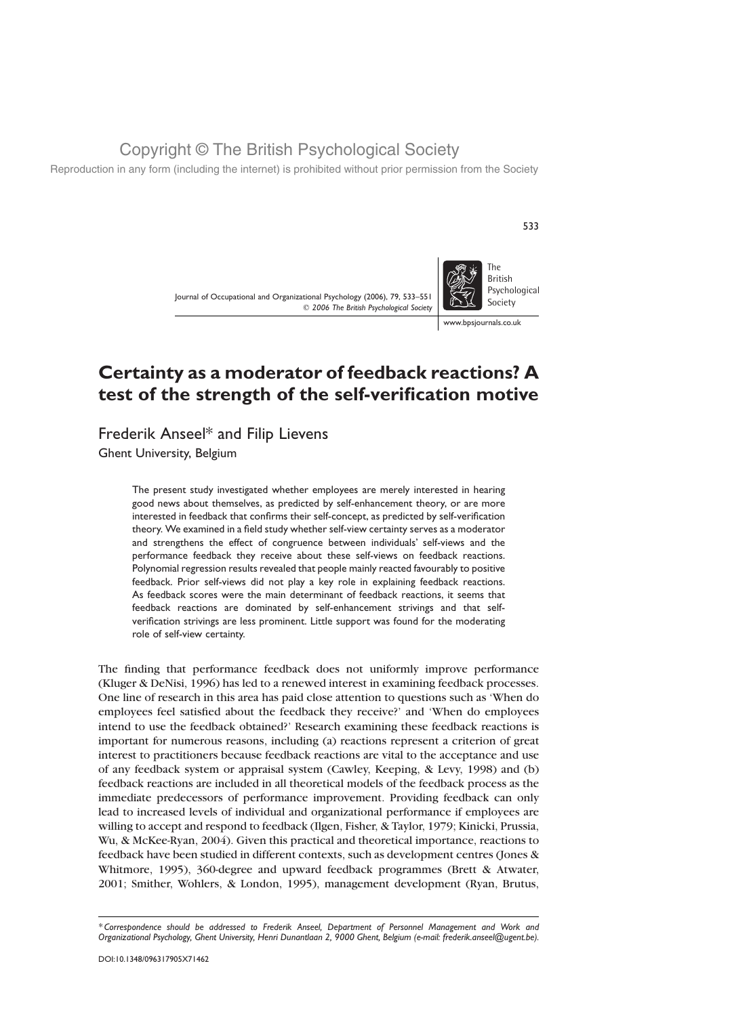Reproduction in any form (including the internet) is prohibited without prior permission from the Society

Journal of Occupational and Organizational Psychology (2006), 79, 533–551  $©$  2006 The British Psychological Society



533

www.bpsjournals.co.uk

# Certainty as a moderator of feedback reactions? A test of the strength of the self-verification motive

# Frederik Anseel\* and Filip Lievens

Ghent University, Belgium

The present study investigated whether employees are merely interested in hearing good news about themselves, as predicted by self-enhancement theory, or are more interested in feedback that confirms their self-concept, as predicted by self-verification theory. We examined in a field study whether self-view certainty serves as a moderator and strengthens the effect of congruence between individuals' self-views and the performance feedback they receive about these self-views on feedback reactions. Polynomial regression results revealed that people mainly reacted favourably to positive feedback. Prior self-views did not play a key role in explaining feedback reactions. As feedback scores were the main determinant of feedback reactions, it seems that feedback reactions are dominated by self-enhancement strivings and that selfverification strivings are less prominent. Little support was found for the moderating role of self-view certainty.

The finding that performance feedback does not uniformly improve performance (Kluger & DeNisi, 1996) has led to a renewed interest in examining feedback processes. One line of research in this area has paid close attention to questions such as 'When do employees feel satisfied about the feedback they receive?' and 'When do employees intend to use the feedback obtained?' Research examining these feedback reactions is important for numerous reasons, including (a) reactions represent a criterion of great interest to practitioners because feedback reactions are vital to the acceptance and use of any feedback system or appraisal system (Cawley, Keeping, & Levy, 1998) and (b) feedback reactions are included in all theoretical models of the feedback process as the immediate predecessors of performance improvement. Providing feedback can only lead to increased levels of individual and organizational performance if employees are willing to accept and respond to feedback (Ilgen, Fisher, & Taylor, 1979; Kinicki, Prussia, Wu, & McKee-Ryan, 2004). Given this practical and theoretical importance, reactions to feedback have been studied in different contexts, such as development centres (Jones & Whitmore, 1995), 360-degree and upward feedback programmes (Brett & Atwater, 2001; Smither, Wohlers, & London, 1995), management development (Ryan, Brutus,

<sup>\*</sup> Correspondence should be addressed to Frederik Anseel, Department of Personnel Management and Work and Organizational Psychology, Ghent University, Henri Dunantlaan 2, 9000 Ghent, Belgium (e-mail: frederik.anseel@ugent.be).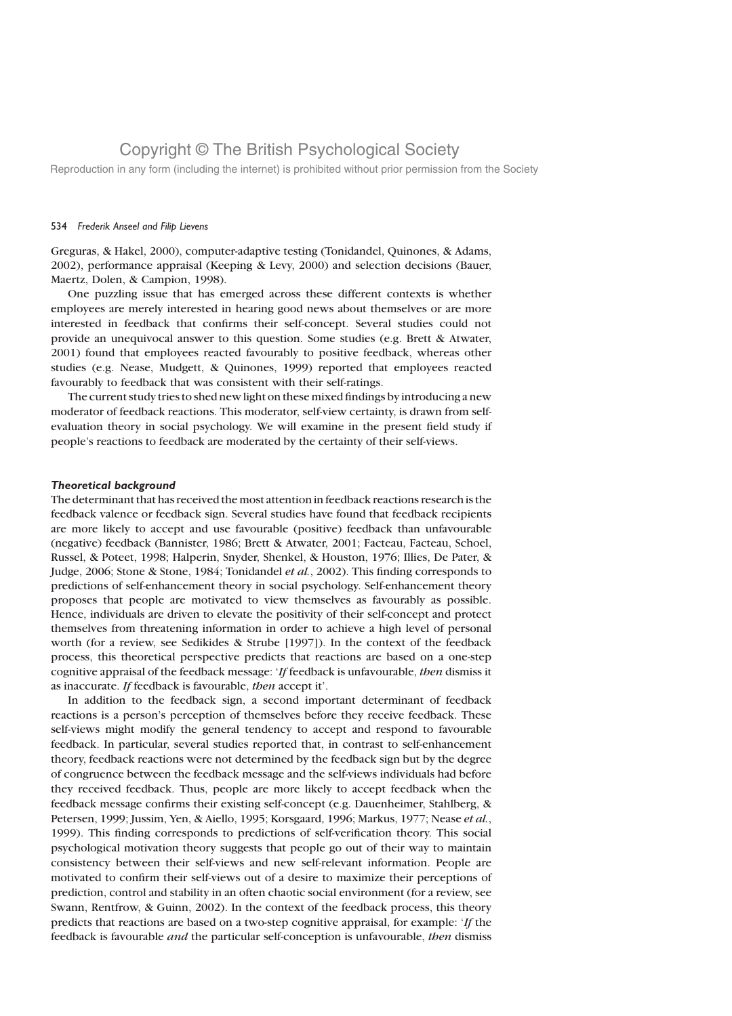Reproduction in any form (including the internet) is prohibited without prior permission from the Society

## 534 Frederik Anseel and Filip Lievens

Greguras, & Hakel, 2000), computer-adaptive testing (Tonidandel, Quinones, & Adams, 2002), performance appraisal (Keeping & Levy, 2000) and selection decisions (Bauer, Maertz, Dolen, & Campion, 1998).

One puzzling issue that has emerged across these different contexts is whether employees are merely interested in hearing good news about themselves or are more interested in feedback that confirms their self-concept. Several studies could not provide an unequivocal answer to this question. Some studies (e.g. Brett & Atwater, 2001) found that employees reacted favourably to positive feedback, whereas other studies (e.g. Nease, Mudgett, & Quinones, 1999) reported that employees reacted favourably to feedback that was consistent with their self-ratings.

The current study tries to shed new light on these mixed findings by introducing a new moderator of feedback reactions. This moderator, self-view certainty, is drawn from selfevaluation theory in social psychology. We will examine in the present field study if people's reactions to feedback are moderated by the certainty of their self-views.

### Theoretical background

The determinant that has received the most attention in feedback reactions research is the feedback valence or feedback sign. Several studies have found that feedback recipients are more likely to accept and use favourable (positive) feedback than unfavourable (negative) feedback (Bannister, 1986; Brett & Atwater, 2001; Facteau, Facteau, Schoel, Russel, & Poteet, 1998; Halperin, Snyder, Shenkel, & Houston, 1976; Illies, De Pater, & Judge, 2006; Stone & Stone, 1984; Tonidandel et al., 2002). This finding corresponds to predictions of self-enhancement theory in social psychology. Self-enhancement theory proposes that people are motivated to view themselves as favourably as possible. Hence, individuals are driven to elevate the positivity of their self-concept and protect themselves from threatening information in order to achieve a high level of personal worth (for a review, see Sedikides & Strube [1997]). In the context of the feedback process, this theoretical perspective predicts that reactions are based on a one-step cognitive appraisal of the feedback message: 'If feedback is unfavourable, then dismiss it as inaccurate. If feedback is favourable, then accept it'.

In addition to the feedback sign, a second important determinant of feedback reactions is a person's perception of themselves before they receive feedback. These self-views might modify the general tendency to accept and respond to favourable feedback. In particular, several studies reported that, in contrast to self-enhancement theory, feedback reactions were not determined by the feedback sign but by the degree of congruence between the feedback message and the self-views individuals had before they received feedback. Thus, people are more likely to accept feedback when the feedback message confirms their existing self-concept (e.g. Dauenheimer, Stahlberg, & Petersen, 1999; Jussim, Yen, & Aiello, 1995; Korsgaard, 1996; Markus, 1977; Nease et al., 1999). This finding corresponds to predictions of self-verification theory. This social psychological motivation theory suggests that people go out of their way to maintain consistency between their self-views and new self-relevant information. People are motivated to confirm their self-views out of a desire to maximize their perceptions of prediction, control and stability in an often chaotic social environment (for a review, see Swann, Rentfrow, & Guinn, 2002). In the context of the feedback process, this theory predicts that reactions are based on a two-step cognitive appraisal, for example: 'If the feedback is favourable and the particular self-conception is unfavourable, then dismiss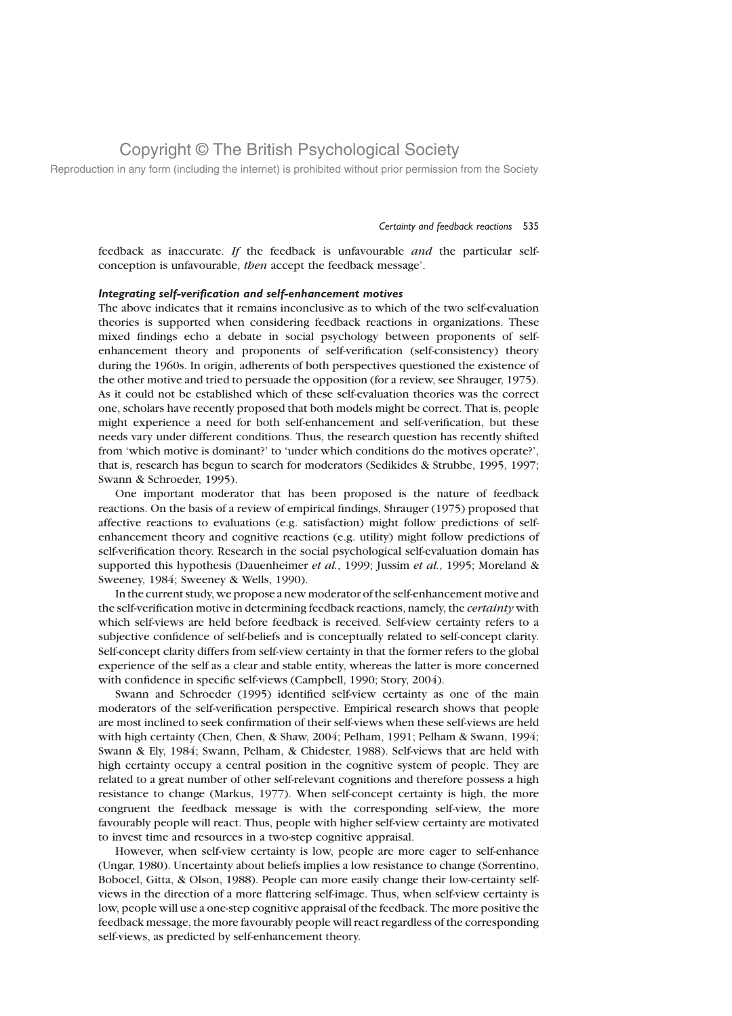Reproduction in any form (including the internet) is prohibited without prior permission from the Society

### Certainty and feedback reactions 535

feedback as inaccurate. If the feedback is unfavourable and the particular selfconception is unfavourable, then accept the feedback message'.

### Integrating self-verification and self-enhancement motives

The above indicates that it remains inconclusive as to which of the two self-evaluation theories is supported when considering feedback reactions in organizations. These mixed findings echo a debate in social psychology between proponents of selfenhancement theory and proponents of self-verification (self-consistency) theory during the 1960s. In origin, adherents of both perspectives questioned the existence of the other motive and tried to persuade the opposition (for a review, see Shrauger, 1975). As it could not be established which of these self-evaluation theories was the correct one, scholars have recently proposed that both models might be correct. That is, people might experience a need for both self-enhancement and self-verification, but these needs vary under different conditions. Thus, the research question has recently shifted from 'which motive is dominant?' to 'under which conditions do the motives operate?', that is, research has begun to search for moderators (Sedikides & Strubbe, 1995, 1997; Swann & Schroeder, 1995).

One important moderator that has been proposed is the nature of feedback reactions. On the basis of a review of empirical findings, Shrauger (1975) proposed that affective reactions to evaluations (e.g. satisfaction) might follow predictions of selfenhancement theory and cognitive reactions (e.g. utility) might follow predictions of self-verification theory. Research in the social psychological self-evaluation domain has supported this hypothesis (Dauenheimer *et al.*, 1999; Jussim *et al.*, 1995; Moreland & Sweeney, 1984; Sweeney & Wells, 1990).

In the current study, we propose a new moderator of the self-enhancement motive and the self-verification motive in determining feedback reactions, namely, the *certainty* with which self-views are held before feedback is received. Self-view certainty refers to a subjective confidence of self-beliefs and is conceptually related to self-concept clarity. Self-concept clarity differs from self-view certainty in that the former refers to the global experience of the self as a clear and stable entity, whereas the latter is more concerned with confidence in specific self-views (Campbell, 1990; Story, 2004).

Swann and Schroeder (1995) identified self-view certainty as one of the main moderators of the self-verification perspective. Empirical research shows that people are most inclined to seek confirmation of their self-views when these self-views are held with high certainty (Chen, Chen, & Shaw, 2004; Pelham, 1991; Pelham & Swann, 1994; Swann & Ely, 1984; Swann, Pelham, & Chidester, 1988). Self-views that are held with high certainty occupy a central position in the cognitive system of people. They are related to a great number of other self-relevant cognitions and therefore possess a high resistance to change (Markus, 1977). When self-concept certainty is high, the more congruent the feedback message is with the corresponding self-view, the more favourably people will react. Thus, people with higher self-view certainty are motivated to invest time and resources in a two-step cognitive appraisal.

However, when self-view certainty is low, people are more eager to self-enhance (Ungar, 1980). Uncertainty about beliefs implies a low resistance to change (Sorrentino, Bobocel, Gitta, & Olson, 1988). People can more easily change their low-certainty selfviews in the direction of a more flattering self-image. Thus, when self-view certainty is low, people will use a one-step cognitive appraisal of the feedback. The more positive the feedback message, the more favourably people will react regardless of the corresponding self-views, as predicted by self-enhancement theory.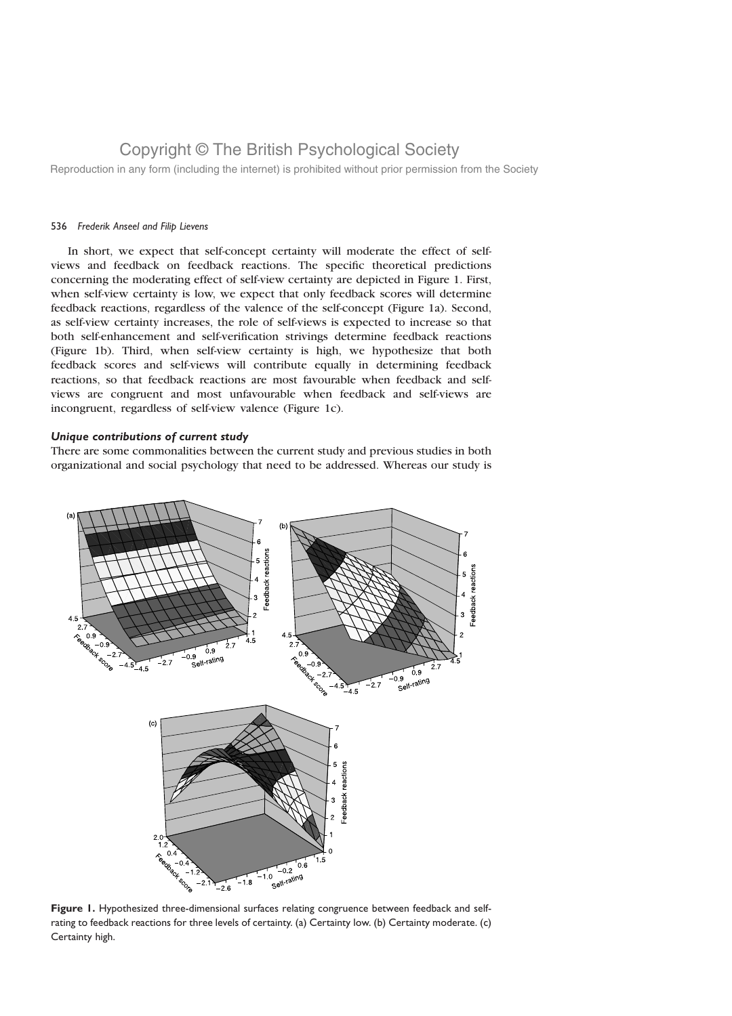Reproduction in any form (including the internet) is prohibited without prior permission from the Society

### 536 Frederik Anseel and Filip Lievens

In short, we expect that self-concept certainty will moderate the effect of selfviews and feedback on feedback reactions. The specific theoretical predictions concerning the moderating effect of self-view certainty are depicted in Figure 1. First, when self-view certainty is low, we expect that only feedback scores will determine feedback reactions, regardless of the valence of the self-concept (Figure 1a). Second, as self-view certainty increases, the role of self-views is expected to increase so that both self-enhancement and self-verification strivings determine feedback reactions (Figure 1b). Third, when self-view certainty is high, we hypothesize that both feedback scores and self-views will contribute equally in determining feedback reactions, so that feedback reactions are most favourable when feedback and selfviews are congruent and most unfavourable when feedback and self-views are incongruent, regardless of self-view valence (Figure 1c).

## Unique contributions of current study

There are some commonalities between the current study and previous studies in both organizational and social psychology that need to be addressed. Whereas our study is



Figure 1. Hypothesized three-dimensional surfaces relating congruence between feedback and selfrating to feedback reactions for three levels of certainty. (a) Certainty low. (b) Certainty moderate. (c) Certainty high.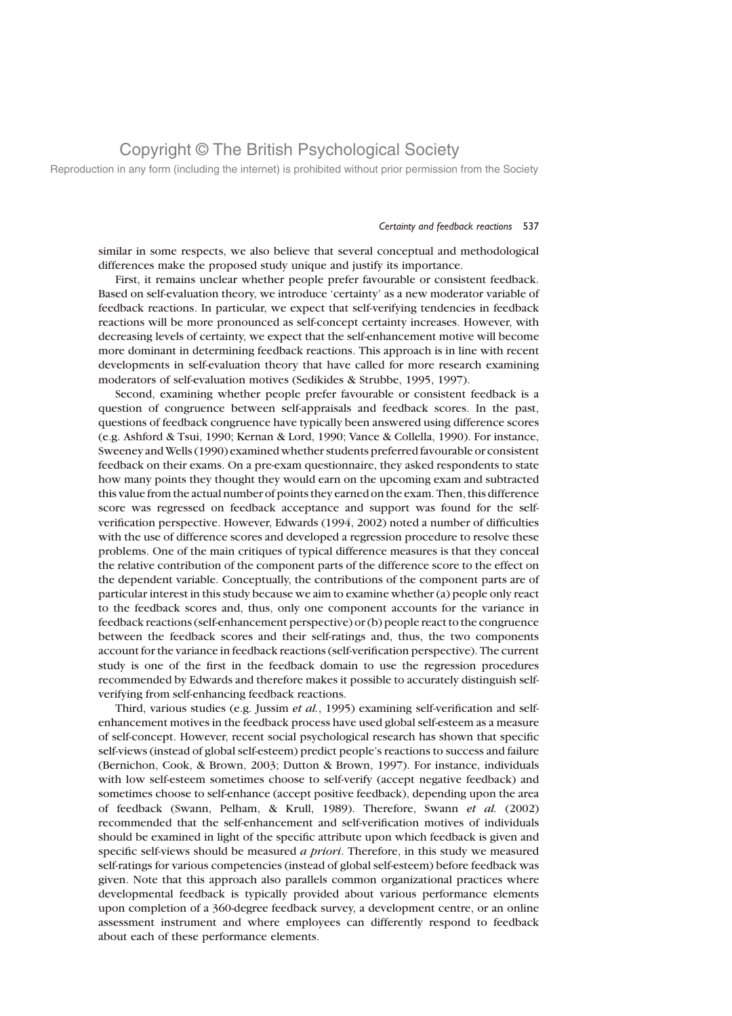Reproduction in any form (including the internet) is prohibited without prior permission from the Society

### Certainty and feedback reactions 537

similar in some respects, we also believe that several conceptual and methodological differences make the proposed study unique and justify its importance.

First, it remains unclear whether people prefer favourable or consistent feedback. Based on self-evaluation theory, we introduce 'certainty' as a new moderator variable of feedback reactions. In particular, we expect that self-verifying tendencies in feedback reactions will be more pronounced as self-concept certainty increases. However, with decreasing levels of certainty, we expect that the self-enhancement motive will become more dominant in determining feedback reactions. This approach is in line with recent developments in self-evaluation theory that have called for more research examining moderators of self-evaluation motives (Sedikides & Strubbe, 1995, 1997).

Second, examining whether people prefer favourable or consistent feedback is a question of congruence between self-appraisals and feedback scores. In the past, questions of feedback congruence have typically been answered using difference scores (e.g. Ashford & Tsui, 1990; Kernan & Lord, 1990; Vance & Collella, 1990). For instance, Sweeney andWells (1990) examined whether students preferred favourable or consistent feedback on their exams. On a pre-exam questionnaire, they asked respondents to state how many points they thought they would earn on the upcoming exam and subtracted this value from the actual number of points they earned on the exam. Then, this difference score was regressed on feedback acceptance and support was found for the selfverification perspective. However, Edwards (1994, 2002) noted a number of difficulties with the use of difference scores and developed a regression procedure to resolve these problems. One of the main critiques of typical difference measures is that they conceal the relative contribution of the component parts of the difference score to the effect on the dependent variable. Conceptually, the contributions of the component parts are of particular interest in this study because we aim to examine whether (a) people only react to the feedback scores and, thus, only one component accounts for the variance in feedback reactions (self-enhancement perspective) or (b) people react to the congruence between the feedback scores and their self-ratings and, thus, the two components account for the variance in feedback reactions (self-verification perspective). The current study is one of the first in the feedback domain to use the regression procedures recommended by Edwards and therefore makes it possible to accurately distinguish selfverifying from self-enhancing feedback reactions.

Third, various studies (e.g. Jussim et al., 1995) examining self-verification and selfenhancement motives in the feedback process have used global self-esteem as a measure of self-concept. However, recent social psychological research has shown that specific self-views (instead of global self-esteem) predict people's reactions to success and failure (Bernichon, Cook, & Brown, 2003; Dutton & Brown, 1997). For instance, individuals with low self-esteem sometimes choose to self-verify (accept negative feedback) and sometimes choose to self-enhance (accept positive feedback), depending upon the area of feedback (Swann, Pelham, & Krull, 1989). Therefore, Swann et al. (2002) recommended that the self-enhancement and self-verification motives of individuals should be examined in light of the specific attribute upon which feedback is given and specific self-views should be measured a priori. Therefore, in this study we measured self-ratings for various competencies (instead of global self-esteem) before feedback was given. Note that this approach also parallels common organizational practices where developmental feedback is typically provided about various performance elements upon completion of a 360-degree feedback survey, a development centre, or an online assessment instrument and where employees can differently respond to feedback about each of these performance elements.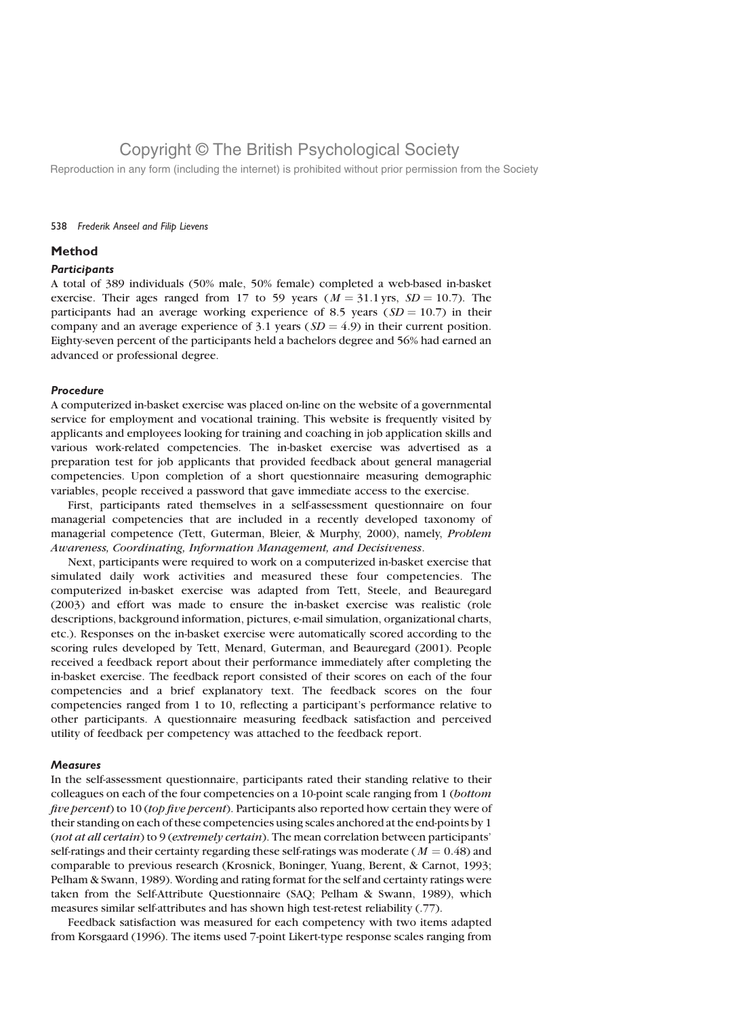Reproduction in any form (including the internet) is prohibited without prior permission from the Society

## 538 Frederik Anseel and Filip Lievens

## Method

### **Participants**

A total of 389 individuals (50% male, 50% female) completed a web-based in-basket exercise. Their ages ranged from 17 to 59 years ( $M = 31.1$  yrs,  $SD = 10.7$ ). The participants had an average working experience of 8.5 years ( $SD = 10.7$ ) in their company and an average experience of 3.1 years  $(SD = 4.9)$  in their current position. Eighty-seven percent of the participants held a bachelors degree and 56% had earned an advanced or professional degree.

## Procedure

A computerized in-basket exercise was placed on-line on the website of a governmental service for employment and vocational training. This website is frequently visited by applicants and employees looking for training and coaching in job application skills and various work-related competencies. The in-basket exercise was advertised as a preparation test for job applicants that provided feedback about general managerial competencies. Upon completion of a short questionnaire measuring demographic variables, people received a password that gave immediate access to the exercise.

First, participants rated themselves in a self-assessment questionnaire on four managerial competencies that are included in a recently developed taxonomy of managerial competence (Tett, Guterman, Bleier, & Murphy, 2000), namely, Problem Awareness, Coordinating, Information Management, and Decisiveness.

Next, participants were required to work on a computerized in-basket exercise that simulated daily work activities and measured these four competencies. The computerized in-basket exercise was adapted from Tett, Steele, and Beauregard (2003) and effort was made to ensure the in-basket exercise was realistic (role descriptions, background information, pictures, e-mail simulation, organizational charts, etc.). Responses on the in-basket exercise were automatically scored according to the scoring rules developed by Tett, Menard, Guterman, and Beauregard (2001). People received a feedback report about their performance immediately after completing the in-basket exercise. The feedback report consisted of their scores on each of the four competencies and a brief explanatory text. The feedback scores on the four competencies ranged from 1 to 10, reflecting a participant's performance relative to other participants. A questionnaire measuring feedback satisfaction and perceived utility of feedback per competency was attached to the feedback report.

## **Measures**

In the self-assessment questionnaire, participants rated their standing relative to their colleagues on each of the four competencies on a 10-point scale ranging from 1 (bottom five percent) to 10 (top five percent). Participants also reported how certain they were of their standing on each of these competencies using scales anchored at the end-points by 1 (not at all certain) to 9 (extremely certain). The mean correlation between participants' self-ratings and their certainty regarding these self-ratings was moderate ( $M = 0.48$ ) and comparable to previous research (Krosnick, Boninger, Yuang, Berent, & Carnot, 1993; Pelham & Swann, 1989). Wording and rating format for the self and certainty ratings were taken from the Self-Attribute Questionnaire (SAQ; Pelham & Swann, 1989), which measures similar self-attributes and has shown high test-retest reliability (.77).

Feedback satisfaction was measured for each competency with two items adapted from Korsgaard (1996). The items used 7-point Likert-type response scales ranging from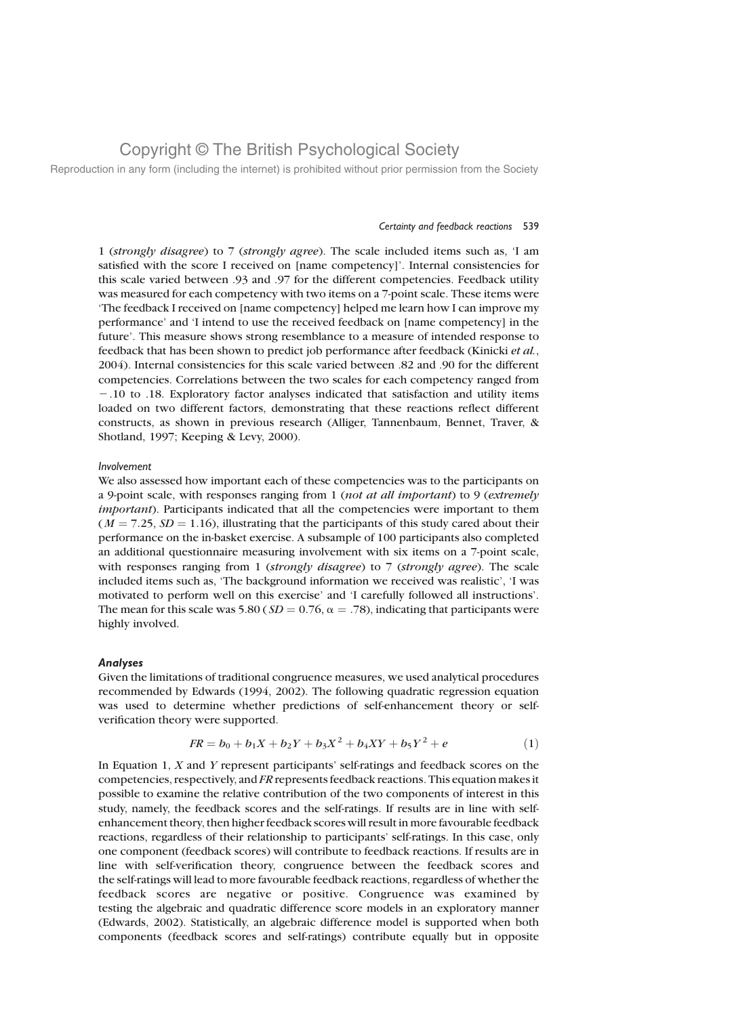Reproduction in any form (including the internet) is prohibited without prior permission from the Society

### Certainty and feedback reactions 539

1 (strongly disagree) to 7 (strongly agree). The scale included items such as, 'I am satisfied with the score I received on [name competency]'. Internal consistencies for this scale varied between .93 and .97 for the different competencies. Feedback utility was measured for each competency with two items on a 7-point scale. These items were 'The feedback I received on [name competency] helped me learn how I can improve my performance' and 'I intend to use the received feedback on [name competency] in the future'. This measure shows strong resemblance to a measure of intended response to feedback that has been shown to predict job performance after feedback (Kinicki et al., 2004). Internal consistencies for this scale varied between .82 and .90 for the different competencies. Correlations between the two scales for each competency ranged from 2.10 to .18. Exploratory factor analyses indicated that satisfaction and utility items loaded on two different factors, demonstrating that these reactions reflect different constructs, as shown in previous research (Alliger, Tannenbaum, Bennet, Traver, & Shotland, 1997; Keeping & Levy, 2000).

## Involvement

We also assessed how important each of these competencies was to the participants on a 9-point scale, with responses ranging from 1 (not at all important) to 9 (extremely important). Participants indicated that all the competencies were important to them  $(M = 7.25, SD = 1.16)$ , illustrating that the participants of this study cared about their performance on the in-basket exercise. A subsample of 100 participants also completed an additional questionnaire measuring involvement with six items on a 7-point scale, with responses ranging from 1 (strongly disagree) to  $7$  (strongly agree). The scale included items such as, 'The background information we received was realistic', 'I was motivated to perform well on this exercise' and 'I carefully followed all instructions'. The mean for this scale was 5.80 ( $SD = 0.76$ ,  $\alpha = .78$ ), indicating that participants were highly involved.

### Analyses

Given the limitations of traditional congruence measures, we used analytical procedures recommended by Edwards (1994, 2002). The following quadratic regression equation was used to determine whether predictions of self-enhancement theory or selfverification theory were supported.

$$
FR = b_0 + b_1 X + b_2 Y + b_3 X^2 + b_4 XY + b_5 Y^2 + e
$$
 (1)

In Equation 1,  $X$  and  $Y$  represent participants' self-ratings and feedback scores on the competencies, respectively, and FR represents feedback reactions. This equation makes it possible to examine the relative contribution of the two components of interest in this study, namely, the feedback scores and the self-ratings. If results are in line with selfenhancement theory, then higher feedback scores will result in more favourable feedback reactions, regardless of their relationship to participants' self-ratings. In this case, only one component (feedback scores) will contribute to feedback reactions. If results are in line with self-verification theory, congruence between the feedback scores and the self-ratings will lead to more favourable feedback reactions, regardless of whether the feedback scores are negative or positive. Congruence was examined by testing the algebraic and quadratic difference score models in an exploratory manner (Edwards, 2002). Statistically, an algebraic difference model is supported when both components (feedback scores and self-ratings) contribute equally but in opposite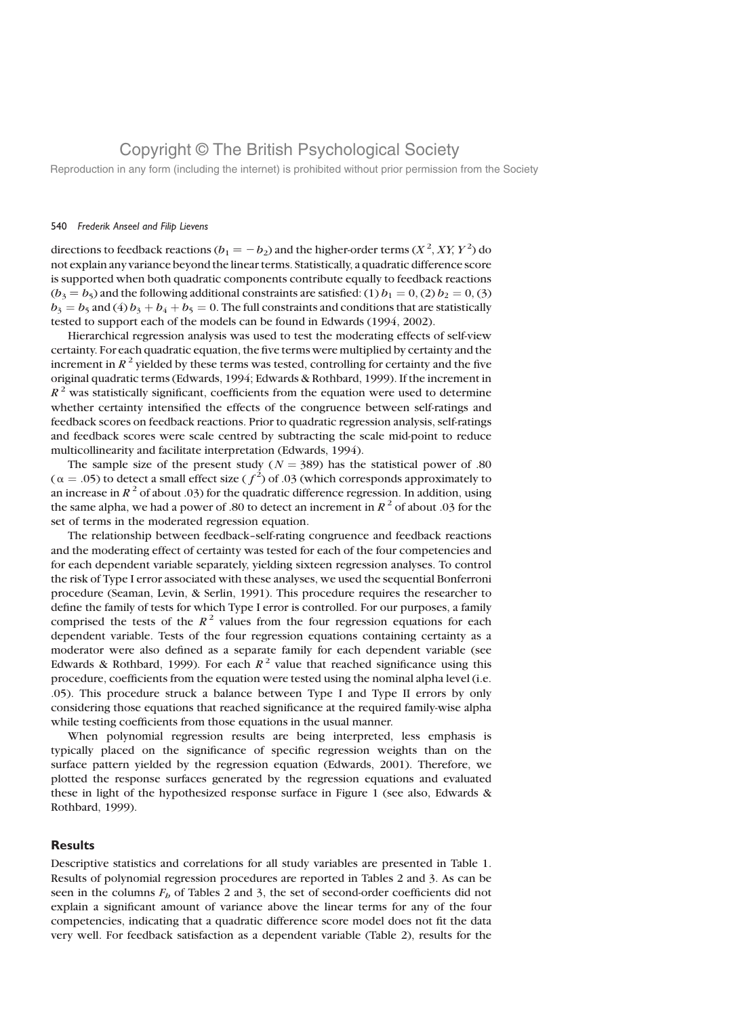Reproduction in any form (including the internet) is prohibited without prior permission from the Society

### 540 Frederik Anseel and Filip Lievens

directions to feedback reactions ( $b_1 = -b_2$ ) and the higher-order terms ( $X^2$ ,  $XY$ ,  $Y^2$ ) do not explain any variance beyond the linear terms. Statistically, a quadratic difference score is supported when both quadratic components contribute equally to feedback reactions  $(b_3 = b_5)$  and the following additional constraints are satisfied: (1)  $b_1 = 0$ , (2)  $b_2 = 0$ , (3)  $b_3 = b_5$  and (4)  $b_3 + b_4 + b_5 = 0$ . The full constraints and conditions that are statistically tested to support each of the models can be found in Edwards (1994, 2002).

Hierarchical regression analysis was used to test the moderating effects of self-view certainty. For each quadratic equation, the five terms were multiplied by certainty and the increment in  $R^2$  yielded by these terms was tested, controlling for certainty and the five original quadratic terms (Edwards, 1994; Edwards & Rothbard, 1999). If the increment in  $R<sup>2</sup>$  was statistically significant, coefficients from the equation were used to determine whether certainty intensified the effects of the congruence between self-ratings and feedback scores on feedback reactions. Prior to quadratic regression analysis, self-ratings and feedback scores were scale centred by subtracting the scale mid-point to reduce multicollinearity and facilitate interpretation (Edwards, 1994).

The sample size of the present study ( $N = 389$ ) has the statistical power of .80 ( $\alpha = .05$ ) to detect a small effect size ( $f^2$ ) of .03 (which corresponds approximately to an increase in  $R^2$  of about .03) for the quadratic difference regression. In addition, using the same alpha, we had a power of .80 to detect an increment in  $R<sup>2</sup>$  of about .03 for the set of terms in the moderated regression equation.

The relationship between feedback–self-rating congruence and feedback reactions and the moderating effect of certainty was tested for each of the four competencies and for each dependent variable separately, yielding sixteen regression analyses. To control the risk of Type I error associated with these analyses, we used the sequential Bonferroni procedure (Seaman, Levin, & Serlin, 1991). This procedure requires the researcher to define the family of tests for which Type I error is controlled. For our purposes, a family comprised the tests of the  $R^2$  values from the four regression equations for each dependent variable. Tests of the four regression equations containing certainty as a moderator were also defined as a separate family for each dependent variable (see Edwards & Rothbard, 1999). For each  $R^2$  value that reached significance using this procedure, coefficients from the equation were tested using the nominal alpha level (i.e. .05). This procedure struck a balance between Type I and Type II errors by only considering those equations that reached significance at the required family-wise alpha while testing coefficients from those equations in the usual manner.

When polynomial regression results are being interpreted, less emphasis is typically placed on the significance of specific regression weights than on the surface pattern yielded by the regression equation (Edwards, 2001). Therefore, we plotted the response surfaces generated by the regression equations and evaluated these in light of the hypothesized response surface in Figure 1 (see also, Edwards & Rothbard, 1999).

## **Results**

Descriptive statistics and correlations for all study variables are presented in Table 1. Results of polynomial regression procedures are reported in Tables 2 and 3. As can be seen in the columns  $F<sub>b</sub>$  of Tables 2 and 3, the set of second-order coefficients did not explain a significant amount of variance above the linear terms for any of the four competencies, indicating that a quadratic difference score model does not fit the data very well. For feedback satisfaction as a dependent variable (Table 2), results for the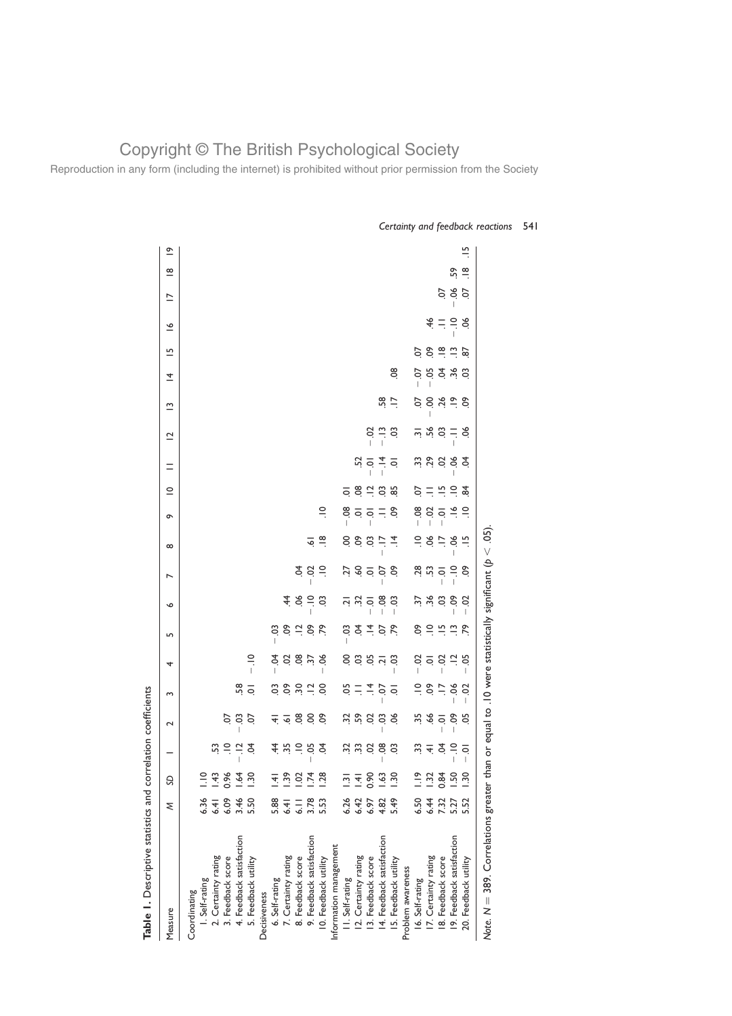Reproduction in any form (including the internet) is prohibited without prior permission from the Society

| Table 1. Descriptive statistics and correlation coefficients                                       |               |                      |                              |                                                                                            |                           |            |                           |                |                |                               |                       |                    |                  |                                           |             |      |                        |                             |                          |                         |                |
|----------------------------------------------------------------------------------------------------|---------------|----------------------|------------------------------|--------------------------------------------------------------------------------------------|---------------------------|------------|---------------------------|----------------|----------------|-------------------------------|-----------------------|--------------------|------------------|-------------------------------------------|-------------|------|------------------------|-----------------------------|--------------------------|-------------------------|----------------|
| Measure                                                                                            | ξ             | S                    |                              | $\sim$                                                                                     | 3                         | 4          | LO <sub>1</sub>           | ∾              | ↖              | $\infty$                      | ô                     | ≌                  | Ξ                | $\overline{\mathbf{C}}$                   | ≅           | ᅕ    | 뜨                      | ≗                           | $\overline{\phantom{0}}$ | $\frac{\infty}{\infty}$ | $\tilde{e}$    |
| Coordinating                                                                                       |               |                      |                              |                                                                                            |                           |            |                           |                |                |                               |                       |                    |                  |                                           |             |      |                        |                             |                          |                         |                |
| I. Self-rating                                                                                     | 6.36          | $\frac{1}{2}$        |                              |                                                                                            |                           |            |                           |                |                |                               |                       |                    |                  |                                           |             |      |                        |                             |                          |                         |                |
| 2. Certainty rating                                                                                | 6.41          | $\frac{43}{5}$       | S3                           |                                                                                            |                           |            |                           |                |                |                               |                       |                    |                  |                                           |             |      |                        |                             |                          |                         |                |
| 3. Feedback score                                                                                  | 6.09          | 0.96                 | $\supseteq$                  | S                                                                                          |                           |            |                           |                |                |                               |                       |                    |                  |                                           |             |      |                        |                             |                          |                         |                |
| 4. Feedback satisfaction                                                                           | 3.46          | $\overline{3}$       | $\overline{a}$               | CO.                                                                                        | 58                        |            |                           |                |                |                               |                       |                    |                  |                                           |             |      |                        |                             |                          |                         |                |
| 5. Feedback utility                                                                                | 5.50          | တ္က                  | £                            | S.                                                                                         | $\overline{Q}$            | $\approx$  |                           |                |                |                               |                       |                    |                  |                                           |             |      |                        |                             |                          |                         |                |
| Decisiveness                                                                                       |               |                      |                              |                                                                                            |                           |            |                           |                |                |                               |                       |                    |                  |                                           |             |      |                        |                             |                          |                         |                |
| 6. Self-rating                                                                                     | 5.88          | <u>च</u> .           |                              |                                                                                            | So.                       | S.         | So                        |                |                |                               |                       |                    |                  |                                           |             |      |                        |                             |                          |                         |                |
| 7. Certainty rating                                                                                | 6.41          | ၷ                    | まやうるま                        | $\stackrel{\doteq}{\pm}$ $\stackrel{\doteq}{\rightarrow}$ $\stackrel{\doteq}{\rightarrow}$ | <b>e</b> so               |            |                           |                |                |                               |                       |                    |                  |                                           |             |      |                        |                             |                          |                         |                |
| 8. Feedback score                                                                                  | $\frac{1}{6}$ | $\ddot{\mathrm{S}}$  |                              |                                                                                            |                           |            | $5^{\circ}$ $\frac{1}{2}$ | 48             | Ş              |                               |                       |                    |                  |                                           |             |      |                        |                             |                          |                         |                |
| 9. Feedback satisfaction                                                                           | 3.78          | $\ddot{z}$           |                              | 8 ಕ್ಷ                                                                                      | $\overline{a}$            | 8 m s 8    | 5.5                       | $\Xi$          | S              | ত্                            |                       |                    |                  |                                           |             |      |                        |                             |                          |                         |                |
| 10. Feedback utility                                                                               | 5.53          | $\ddot{5}$           |                              |                                                                                            | S                         |            |                           | ප              | $\tilde{=}$    | $\frac{8}{1}$                 | $\approx$             |                    |                  |                                           |             |      |                        |                             |                          |                         |                |
| Information management                                                                             |               |                      |                              |                                                                                            |                           |            |                           |                |                |                               |                       |                    |                  |                                           |             |      |                        |                             |                          |                         |                |
| II. Self-rating                                                                                    | 6.26          | $\bar{\mathbb{S}}$   |                              |                                                                                            | 5O                        | S          | S.                        |                | Ż              | S                             | 80                    | $\overline{\circ}$ |                  |                                           |             |      |                        |                             |                          |                         |                |
| 12. Certainty rating                                                                               | 6.42          | $\overline{+}$       |                              |                                                                                            | $\equiv \frac{4}{\pi}$    |            | $\vec{r}$ $\vec{r}$       |                |                | $\ddot{\circ}$ $\ddot{\circ}$ |                       | 08                 |                  |                                           |             |      |                        |                             |                          |                         |                |
| 13. Feedback score                                                                                 | 6.97          | 0.90                 | 5 5 6 7                      |                                                                                            |                           |            |                           |                | 399            |                               | $\leq \leq \leq \leq$ | $\frac{1}{2}$      | $\frac{1}{2}$    | S                                         |             |      |                        |                             |                          |                         |                |
| 14. Feedback satisfaction                                                                          | 4.82          | $\ddot{\mathcal{S}}$ |                              | CO.                                                                                        | $\frac{1}{2}$             |            | 5.79                      | $\overline{0}$ |                | $\ddot{=}$                    |                       | $\frac{3}{2}$      | $\frac{1}{4}$ or | $\tilde{\Xi}$                             | 58          |      |                        |                             |                          |                         |                |
| 15. Feedback utility                                                                               | 5.49          | ಜ                    | ප                            | న                                                                                          |                           |            |                           | ິວ<br>I        | $\ddot{\circ}$ | $\vec{=}$                     |                       |                    |                  | ິວ                                        | $\equiv$    | œ.   |                        |                             |                          |                         |                |
| Problem awareness                                                                                  |               |                      |                              |                                                                                            |                           |            |                           |                |                |                               |                       |                    |                  |                                           |             |      |                        |                             |                          |                         |                |
| 16. Self-rating                                                                                    | 6.50          | $\frac{8}{11}$       | ಼                            | 35                                                                                         | <u>으</u>                  | S          | င်္                       | 57             | 28             | $\cong$                       |                       | S                  |                  |                                           | S           | S    | S.                     |                             |                          |                         |                |
| 17. Certainty rating                                                                               | 6.44          | ö                    | $\stackrel{\text{4}}{4}$     | 66                                                                                         | $\mathsf{S}^{\mathsf{O}}$ | <u>ਰ</u> 8 | $\Xi$                     | 36.5           | $\frac{1}{2}$  | న                             | ឌុ ឳ ខុ               | 三                  | ង ទូ ទ           | $\frac{1}{2}$ $\frac{1}{2}$ $\frac{1}{2}$ | 8.4         | I    | $\mathcal{S}$          |                             |                          |                         |                |
| 18. Feedback score                                                                                 | 7.32          | 0.84                 |                              |                                                                                            | $\ddot{=}$                |            | $\frac{10}{10}$           |                |                | $\ddot{=}$                    |                       | $\frac{15}{1}$     |                  |                                           |             |      | $\frac{\infty}{\cdot}$ | $\frac{4}{5}$ =             |                          |                         |                |
| 19. Feedback satisfaction                                                                          | 5.27          | Ρġ                   | $\equiv$                     | S.                                                                                         | ð.                        | $\Xi$      | $\tilde{=}$               | ငံ             | $\tilde{=}$    | ð.                            | $\tilde{=}$           | $\Xi$              | 8 g              | $\overline{\phantom{a}}$                  | $\tilde{=}$ | 5335 | $\tilde{=}$            | $\frac{1}{2}$ $\frac{1}{2}$ | 8 č                      | S,                      |                |
| 20. Feedback utility                                                                               | 5.52          | ္က                   | $\ddot{a}$<br>$\overline{1}$ | 5g                                                                                         | S<br>T                    | 5g         | ξŚ,                       | S<br>ı         | $\overline{c}$ | $\frac{15}{1}$                | $\tilde{=}$           | $\frac{8}{4}$      |                  | న                                         | δ.          |      | 87                     |                             | S.                       | $\frac{\infty}{\cdot}$  | $\frac{15}{1}$ |
| Note, $N = 389$ . Correlations greater than or equal to .10 were statistically significant ( $p <$ |               |                      |                              |                                                                                            |                           |            |                           |                |                | 65                            |                       |                    |                  |                                           |             |      |                        |                             |                          |                         |                |

Certainty and feedback reactions 541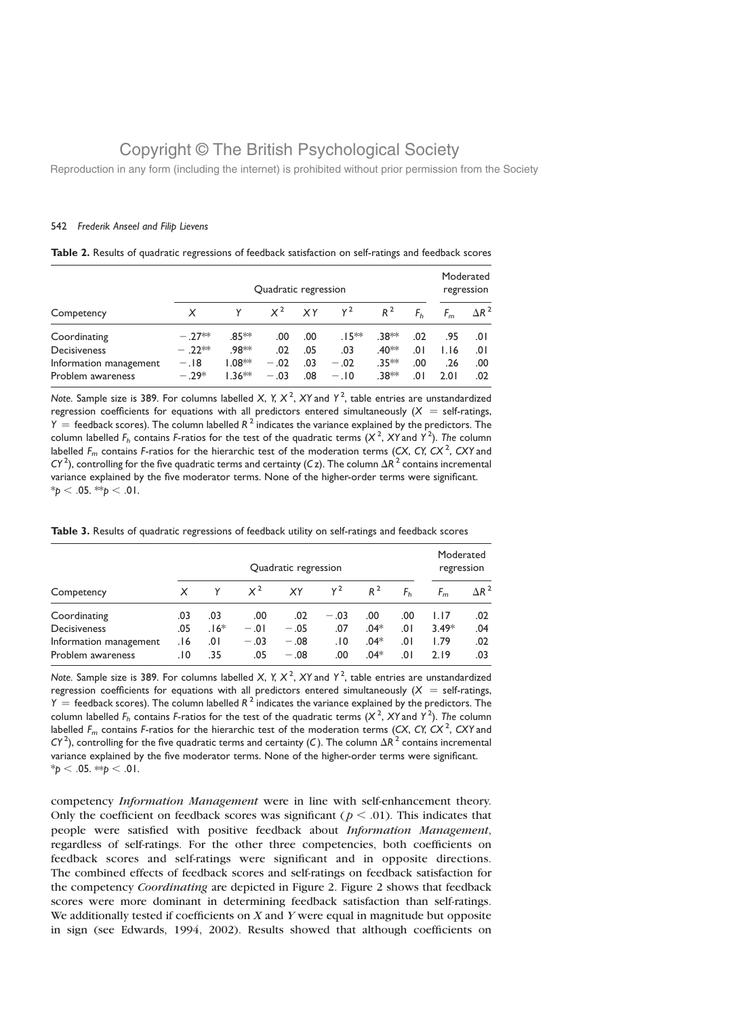Reproduction in any form (including the internet) is prohibited without prior permission from the Society

### 542 Frederik Anseel and Filip Lievens

|  |  |  |  |  |  |  | Table 2. Results of quadratic regressions of feedback satisfaction on self-ratings and feedback scores |  |
|--|--|--|--|--|--|--|--------------------------------------------------------------------------------------------------------|--|
|--|--|--|--|--|--|--|--------------------------------------------------------------------------------------------------------|--|

|                        |         | Quadratic regression |        |     |         |                    |     |      |                 |  |
|------------------------|---------|----------------------|--------|-----|---------|--------------------|-----|------|-----------------|--|
| Competency             |         |                      | $X^2$  | XY  | $Y^2$   | $R^2$              |     |      | $\Delta$ R $^2$ |  |
| Coordinating           | $-27**$ | .85 **               | .00.   | .00 | $.15**$ | .38**              | .02 | .95  | .0۱             |  |
| <b>Decisiveness</b>    | $-22**$ | .98**                | .02    | .05 | .03     | .40 <sup>*</sup> * | 0١. | 1.16 | .0۱             |  |
| Information management | $-.18$  | $1.08**$             | $-.02$ | .03 | $-.02$  | $.35**$            | .00 | .26  | .00             |  |
| Problem awareness      | $-29*$  | $1.36**$             | $-.03$ | .08 | $-.10$  | .38**              | 0١. | 2.01 | .02             |  |

Note. Sample size is 389. For columns labelled X, Y,  $X^2$ , XY and Y<sup>2</sup>, table entries are unstandardized regression coefficients for equations with all predictors entered simultaneously  $(X = self-ratings,$  $Y =$  feedback scores). The column labelled  $R^2$  indicates the variance explained by the predictors. The column labelled  $F_h$  contains F-ratios for the test of the quadratic terms  $(X^2, XY)$  and  $Y^2$ ). The column labelled  $F_m$  contains F-ratios for the hierarchic test of the moderation terms (CX, CY, CX<sup>2</sup>, CXY and CY <sup>2</sup>), controlling for the five quadratic terms and certainty (C z). The column  $\Delta R^{\rm^-2}$  contains incremental variance explained by the five moderator terms. None of the higher-order terms were significant.  $*_{p}$  < .05.  $*_{p}$  < .01.

|                        |     |        |        | Quadratic regression |        |        |     | Moderated<br>regression |              |
|------------------------|-----|--------|--------|----------------------|--------|--------|-----|-------------------------|--------------|
| Competency             | X   |        | $X^2$  | XY                   | $Y^2$  | $R^2$  |     |                         | $\Delta R^2$ |
| Coordinating           | .03 | .03    | .00    | .02                  | $-.03$ | .00    | .00 | 1.17                    | .02          |
| Decisiveness           | .05 | $.16*$ | $-.01$ | $-.05$               | .07    | $.04*$ | 0١. | $3.49*$                 | .04          |
| Information management | 16. | 0١.    | $-.03$ | $-.08$               | .10    | $.04*$ | 0١. | 1.79                    | .02          |
| Problem awareness      | ١٥. | .35    | .05    | $-.08$               | .00    | $.04*$ | 0١. | 2.19                    | .03          |

Table 3. Results of quadratic regressions of feedback utility on self-ratings and feedback scores

Note. Sample size is 389. For columns labelled X, Y, X<sup>2</sup>, XY and Y<sup>2</sup>, table entries are unstandardized regression coefficients for equations with all predictors entered simultaneously  $(X = self-ratings,$  $\gamma =$  feedback scores). The column labelled  $R^2$  indicates the variance explained by the predictors. The column labelled  $F_h$  contains F-ratios for the test of the quadratic terms  $(X^2, XY)$  and  $Y^2$ ). The column labelled  $F_m$  contains F-ratios for the hierarchic test of the moderation terms (CX, CY, CX<sup>2</sup>, CXY and CY  $^2$ ), controlling for the five quadratic terms and certainty (C). The column  $\Delta R^{\bar2}$  contains incremental variance explained by the five moderator terms. None of the higher-order terms were significant.  $*_{p}$  < .05.  $*_{p}$  < .01.

competency *Information Management* were in line with self-enhancement theory. Only the coefficient on feedback scores was significant ( $p < .01$ ). This indicates that people were satisfied with positive feedback about Information Management, regardless of self-ratings. For the other three competencies, both coefficients on feedback scores and self-ratings were significant and in opposite directions. The combined effects of feedback scores and self-ratings on feedback satisfaction for the competency *Coordinating* are depicted in Figure 2. Figure 2 shows that feedback scores were more dominant in determining feedback satisfaction than self-ratings. We additionally tested if coefficients on  $X$  and  $Y$  were equal in magnitude but opposite in sign (see Edwards, 1994, 2002). Results showed that although coefficients on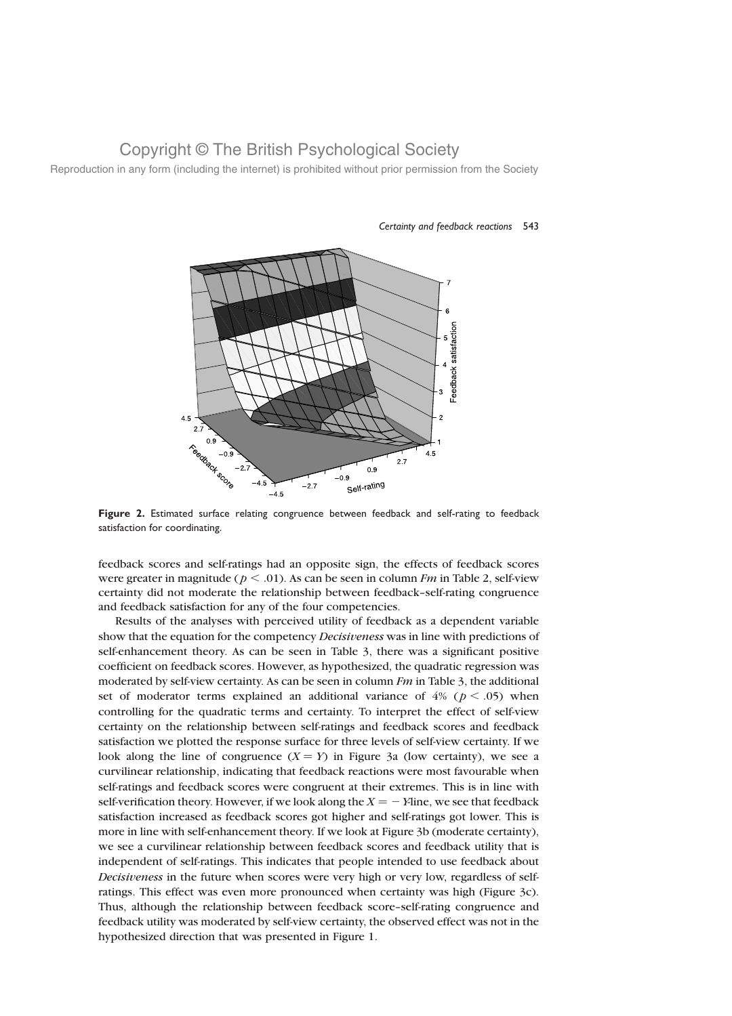Reproduction in any form (including the internet) is prohibited without prior permission from the Society



### Certainty and feedback reactions 543

Figure 2. Estimated surface relating congruence between feedback and self-rating to feedback satisfaction for coordinating.

feedback scores and self-ratings had an opposite sign, the effects of feedback scores were greater in magnitude ( $p < .01$ ). As can be seen in column *Fm* in Table 2, self-view certainty did not moderate the relationship between feedback–self-rating congruence and feedback satisfaction for any of the four competencies.

Results of the analyses with perceived utility of feedback as a dependent variable show that the equation for the competency Decisiveness was in line with predictions of self-enhancement theory. As can be seen in Table 3, there was a significant positive coefficient on feedback scores. However, as hypothesized, the quadratic regression was moderated by self-view certainty. As can be seen in column  $Fm$  in Table 3, the additional set of moderator terms explained an additional variance of  $4\%$  ( $p < .05$ ) when controlling for the quadratic terms and certainty. To interpret the effect of self-view certainty on the relationship between self-ratings and feedback scores and feedback satisfaction we plotted the response surface for three levels of self-view certainty. If we look along the line of congruence  $(X = Y)$  in Figure 3a (low certainty), we see a curvilinear relationship, indicating that feedback reactions were most favourable when self-ratings and feedback scores were congruent at their extremes. This is in line with self-verification theory. However, if we look along the  $X = -Y$ line, we see that feedback satisfaction increased as feedback scores got higher and self-ratings got lower. This is more in line with self-enhancement theory. If we look at Figure 3b (moderate certainty), we see a curvilinear relationship between feedback scores and feedback utility that is independent of self-ratings. This indicates that people intended to use feedback about Decisiveness in the future when scores were very high or very low, regardless of selfratings. This effect was even more pronounced when certainty was high (Figure 3c). Thus, although the relationship between feedback score–self-rating congruence and feedback utility was moderated by self-view certainty, the observed effect was not in the hypothesized direction that was presented in Figure 1.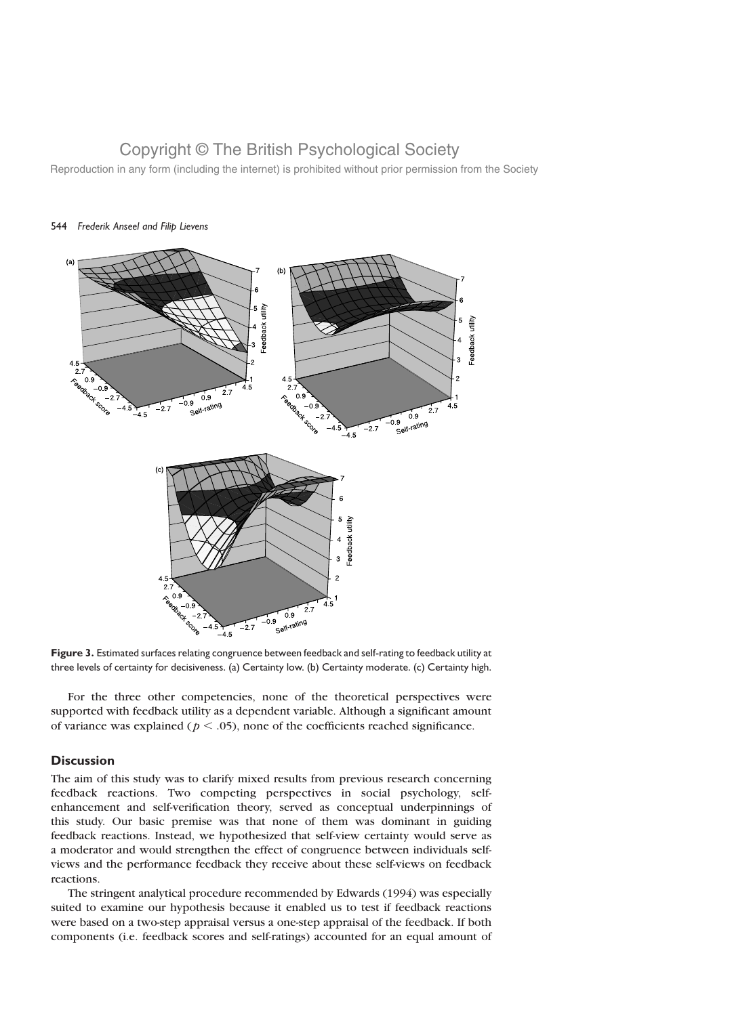Reproduction in any form (including the internet) is prohibited without prior permission from the Society



## 544 Frederik Anseel and Filip Lievens

Figure 3. Estimated surfaces relating congruence between feedback and self-rating to feedback utility at three levels of certainty for decisiveness. (a) Certainty low. (b) Certainty moderate. (c) Certainty high.

For the three other competencies, none of the theoretical perspectives were supported with feedback utility as a dependent variable. Although a significant amount of variance was explained ( $p < .05$ ), none of the coefficients reached significance.

## **Discussion**

The aim of this study was to clarify mixed results from previous research concerning feedback reactions. Two competing perspectives in social psychology, selfenhancement and self-verification theory, served as conceptual underpinnings of this study. Our basic premise was that none of them was dominant in guiding feedback reactions. Instead, we hypothesized that self-view certainty would serve as a moderator and would strengthen the effect of congruence between individuals selfviews and the performance feedback they receive about these self-views on feedback reactions.

The stringent analytical procedure recommended by Edwards (1994) was especially suited to examine our hypothesis because it enabled us to test if feedback reactions were based on a two-step appraisal versus a one-step appraisal of the feedback. If both components (i.e. feedback scores and self-ratings) accounted for an equal amount of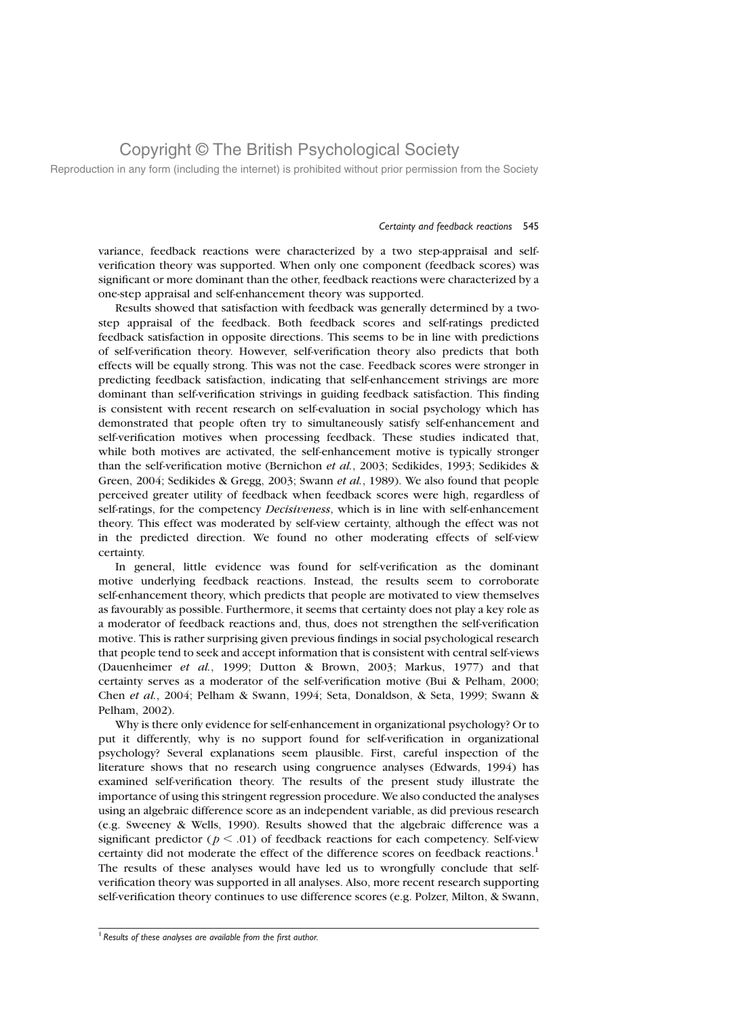Reproduction in any form (including the internet) is prohibited without prior permission from the Society

### Certainty and feedback reactions 545

variance, feedback reactions were characterized by a two step-appraisal and selfverification theory was supported. When only one component (feedback scores) was significant or more dominant than the other, feedback reactions were characterized by a one-step appraisal and self-enhancement theory was supported.

Results showed that satisfaction with feedback was generally determined by a twostep appraisal of the feedback. Both feedback scores and self-ratings predicted feedback satisfaction in opposite directions. This seems to be in line with predictions of self-verification theory. However, self-verification theory also predicts that both effects will be equally strong. This was not the case. Feedback scores were stronger in predicting feedback satisfaction, indicating that self-enhancement strivings are more dominant than self-verification strivings in guiding feedback satisfaction. This finding is consistent with recent research on self-evaluation in social psychology which has demonstrated that people often try to simultaneously satisfy self-enhancement and self-verification motives when processing feedback. These studies indicated that, while both motives are activated, the self-enhancement motive is typically stronger than the self-verification motive (Bernichon et al., 2003; Sedikides, 1993; Sedikides & Green, 2004; Sedikides & Gregg, 2003; Swann et al., 1989). We also found that people perceived greater utility of feedback when feedback scores were high, regardless of self-ratings, for the competency *Decisiveness*, which is in line with self-enhancement theory. This effect was moderated by self-view certainty, although the effect was not in the predicted direction. We found no other moderating effects of self-view certainty.

In general, little evidence was found for self-verification as the dominant motive underlying feedback reactions. Instead, the results seem to corroborate self-enhancement theory, which predicts that people are motivated to view themselves as favourably as possible. Furthermore, it seems that certainty does not play a key role as a moderator of feedback reactions and, thus, does not strengthen the self-verification motive. This is rather surprising given previous findings in social psychological research that people tend to seek and accept information that is consistent with central self-views (Dauenheimer et al., 1999; Dutton & Brown, 2003; Markus, 1977) and that certainty serves as a moderator of the self-verification motive (Bui & Pelham, 2000; Chen et al., 2004; Pelham & Swann, 1994; Seta, Donaldson, & Seta, 1999; Swann & Pelham, 2002).

Why is there only evidence for self-enhancement in organizational psychology? Or to put it differently, why is no support found for self-verification in organizational psychology? Several explanations seem plausible. First, careful inspection of the literature shows that no research using congruence analyses (Edwards, 1994) has examined self-verification theory. The results of the present study illustrate the importance of using this stringent regression procedure. We also conducted the analyses using an algebraic difference score as an independent variable, as did previous research (e.g. Sweeney & Wells, 1990). Results showed that the algebraic difference was a significant predictor ( $p < .01$ ) of feedback reactions for each competency. Self-view certainty did not moderate the effect of the difference scores on feedback reactions.<sup>1</sup> The results of these analyses would have led us to wrongfully conclude that selfverification theory was supported in all analyses. Also, more recent research supporting self-verification theory continues to use difference scores (e.g. Polzer, Milton, & Swann,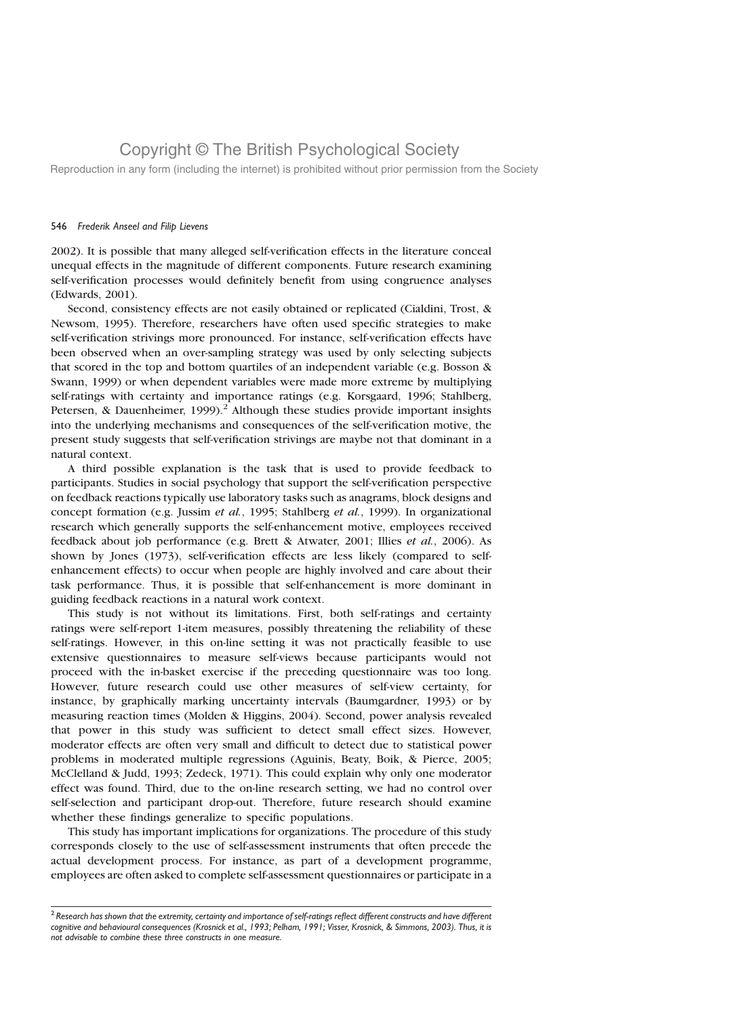Reproduction in any form (including the internet) is prohibited without prior permission from the Society

### 546 Frederik Anseel and Filip Lievens

2002). It is possible that many alleged self-verification effects in the literature conceal unequal effects in the magnitude of different components. Future research examining self-verification processes would definitely benefit from using congruence analyses (Edwards, 2001).

Second, consistency effects are not easily obtained or replicated (Cialdini, Trost, & Newsom, 1995). Therefore, researchers have often used specific strategies to make self-verification strivings more pronounced. For instance, self-verification effects have been observed when an over-sampling strategy was used by only selecting subjects that scored in the top and bottom quartiles of an independent variable (e.g. Bosson & Swann, 1999) or when dependent variables were made more extreme by multiplying self-ratings with certainty and importance ratings (e.g. Korsgaard, 1996; Stahlberg, Petersen, & Dauenheimer, 1999).<sup>2</sup> Although these studies provide important insights into the underlying mechanisms and consequences of the self-verification motive, the present study suggests that self-verification strivings are maybe not that dominant in a natural context.

A third possible explanation is the task that is used to provide feedback to participants. Studies in social psychology that support the self-verification perspective on feedback reactions typically use laboratory tasks such as anagrams, block designs and concept formation (e.g. Jussim et al., 1995; Stahlberg et al., 1999). In organizational research which generally supports the self-enhancement motive, employees received feedback about job performance (e.g. Brett & Atwater, 2001; Illies et al., 2006). As shown by Jones (1973), self-verification effects are less likely (compared to selfenhancement effects) to occur when people are highly involved and care about their task performance. Thus, it is possible that self-enhancement is more dominant in guiding feedback reactions in a natural work context.

This study is not without its limitations. First, both self-ratings and certainty ratings were self-report 1-item measures, possibly threatening the reliability of these self-ratings. However, in this on-line setting it was not practically feasible to use extensive questionnaires to measure self-views because participants would not proceed with the in-basket exercise if the preceding questionnaire was too long. However, future research could use other measures of self-view certainty, for instance, by graphically marking uncertainty intervals (Baumgardner, 1993) or by measuring reaction times (Molden & Higgins, 2004). Second, power analysis revealed that power in this study was sufficient to detect small effect sizes. However, moderator effects are often very small and difficult to detect due to statistical power problems in moderated multiple regressions (Aguinis, Beaty, Boik, & Pierce, 2005; McClelland & Judd, 1993; Zedeck, 1971). This could explain why only one moderator effect was found. Third, due to the on-line research setting, we had no control over self-selection and participant drop-out. Therefore, future research should examine whether these findings generalize to specific populations.

This study has important implications for organizations. The procedure of this study corresponds closely to the use of self-assessment instruments that often precede the actual development process. For instance, as part of a development programme, employees are often asked to complete self-assessment questionnaires or participate in a

 $^2$  Research has shown that the extremity, certainty and importance of self-ratings reflect different constructs and have different cognitive and behavioural consequences (Krosnick et al., 1993; Pelham, 1991; Visser, Krosnick, & Simmons, 2003). Thus, it is not advisable to combine these three constructs in one measure.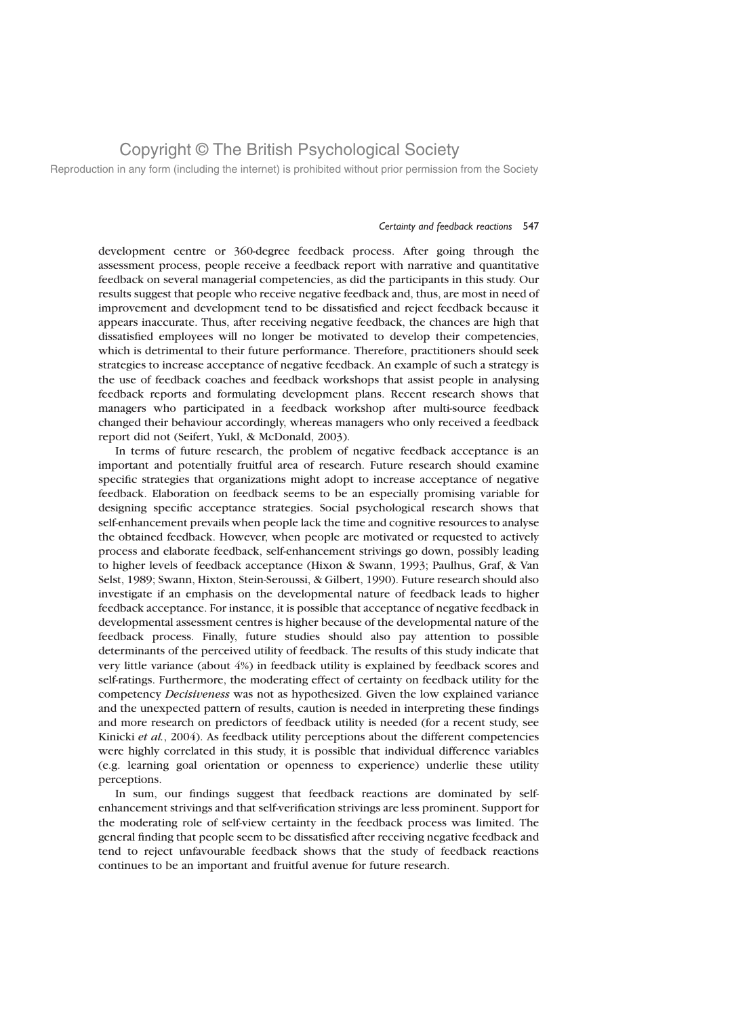Reproduction in any form (including the internet) is prohibited without prior permission from the Society

### Certainty and feedback reactions 547

development centre or 360-degree feedback process. After going through the assessment process, people receive a feedback report with narrative and quantitative feedback on several managerial competencies, as did the participants in this study. Our results suggest that people who receive negative feedback and, thus, are most in need of improvement and development tend to be dissatisfied and reject feedback because it appears inaccurate. Thus, after receiving negative feedback, the chances are high that dissatisfied employees will no longer be motivated to develop their competencies, which is detrimental to their future performance. Therefore, practitioners should seek strategies to increase acceptance of negative feedback. An example of such a strategy is the use of feedback coaches and feedback workshops that assist people in analysing feedback reports and formulating development plans. Recent research shows that managers who participated in a feedback workshop after multi-source feedback changed their behaviour accordingly, whereas managers who only received a feedback report did not (Seifert, Yukl, & McDonald, 2003).

In terms of future research, the problem of negative feedback acceptance is an important and potentially fruitful area of research. Future research should examine specific strategies that organizations might adopt to increase acceptance of negative feedback. Elaboration on feedback seems to be an especially promising variable for designing specific acceptance strategies. Social psychological research shows that self-enhancement prevails when people lack the time and cognitive resources to analyse the obtained feedback. However, when people are motivated or requested to actively process and elaborate feedback, self-enhancement strivings go down, possibly leading to higher levels of feedback acceptance (Hixon & Swann, 1993; Paulhus, Graf, & Van Selst, 1989; Swann, Hixton, Stein-Seroussi, & Gilbert, 1990). Future research should also investigate if an emphasis on the developmental nature of feedback leads to higher feedback acceptance. For instance, it is possible that acceptance of negative feedback in developmental assessment centres is higher because of the developmental nature of the feedback process. Finally, future studies should also pay attention to possible determinants of the perceived utility of feedback. The results of this study indicate that very little variance (about 4%) in feedback utility is explained by feedback scores and self-ratings. Furthermore, the moderating effect of certainty on feedback utility for the competency Decisiveness was not as hypothesized. Given the low explained variance and the unexpected pattern of results, caution is needed in interpreting these findings and more research on predictors of feedback utility is needed (for a recent study, see Kinicki et al., 2004). As feedback utility perceptions about the different competencies were highly correlated in this study, it is possible that individual difference variables (e.g. learning goal orientation or openness to experience) underlie these utility perceptions.

In sum, our findings suggest that feedback reactions are dominated by selfenhancement strivings and that self-verification strivings are less prominent. Support for the moderating role of self-view certainty in the feedback process was limited. The general finding that people seem to be dissatisfied after receiving negative feedback and tend to reject unfavourable feedback shows that the study of feedback reactions continues to be an important and fruitful avenue for future research.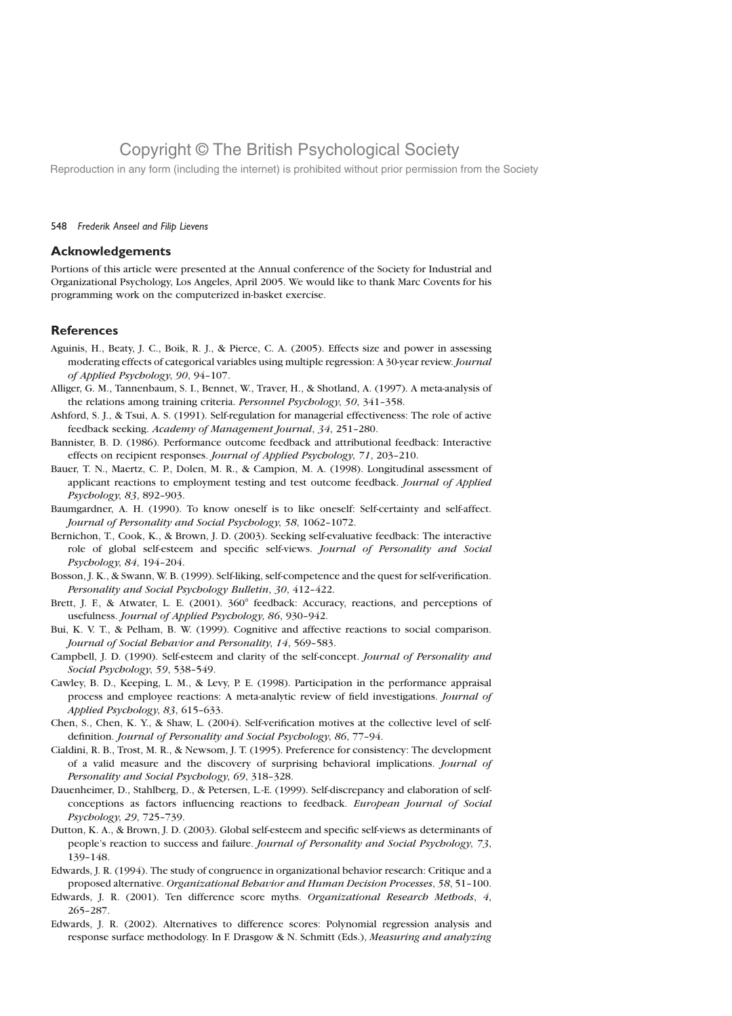Reproduction in any form (including the internet) is prohibited without prior permission from the Society

### 548 Frederik Anseel and Filip Lievens

## Acknowledgements

Portions of this article were presented at the Annual conference of the Society for Industrial and Organizational Psychology, Los Angeles, April 2005. We would like to thank Marc Covents for his programming work on the computerized in-basket exercise.

## **References**

- Aguinis, H., Beaty, J. C., Boik, R. J., & Pierce, C. A. (2005). Effects size and power in assessing moderating effects of categorical variables using multiple regression: A 30-year review. Journal of Applied Psychology, 90, 94–107.
- Alliger, G. M., Tannenbaum, S. I., Bennet, W., Traver, H., & Shotland, A. (1997). A meta-analysis of the relations among training criteria. Personnel Psychology, 50, 341–358.
- Ashford, S. J., & Tsui, A. S. (1991). Self-regulation for managerial effectiveness: The role of active feedback seeking. Academy of Management Journal, 34, 251–280.
- Bannister, B. D. (1986). Performance outcome feedback and attributional feedback: Interactive effects on recipient responses. Journal of Applied Psychology, 71, 203–210.
- Bauer, T. N., Maertz, C. P., Dolen, M. R., & Campion, M. A. (1998). Longitudinal assessment of applicant reactions to employment testing and test outcome feedback. Journal of Applied Psychology, 83, 892–903.
- Baumgardner, A. H. (1990). To know oneself is to like oneself: Self-certainty and self-affect. Journal of Personality and Social Psychology, 58, 1062–1072.
- Bernichon, T., Cook, K., & Brown, J. D. (2003). Seeking self-evaluative feedback: The interactive role of global self-esteem and specific self-views. Journal of Personality and Social Psychology, 84, 194–204.
- Bosson, J. K., & Swann, W. B. (1999). Self-liking, self-competence and the quest for self-verification. Personality and Social Psychology Bulletin, 30, 412–422.
- Brett, J. F., & Atwater, L. E. (2001). 360° feedback: Accuracy, reactions, and perceptions of usefulness. Journal of Applied Psychology, 86, 930–942.
- Bui, K. V. T., & Pelham, B. W. (1999). Cognitive and affective reactions to social comparison. Journal of Social Behavior and Personality, 14, 569–583.
- Campbell, J. D. (1990). Self-esteem and clarity of the self-concept. Journal of Personality and Social Psychology, 59, 538–549.
- Cawley, B. D., Keeping, L. M., & Levy, P. E. (1998). Participation in the performance appraisal process and employee reactions: A meta-analytic review of field investigations. Journal of Applied Psychology, 83, 615–633.
- Chen, S., Chen, K. Y., & Shaw, L. (2004). Self-verification motives at the collective level of selfdefinition. Journal of Personality and Social Psychology, 86, 77–94.
- Cialdini, R. B., Trost, M. R., & Newsom, J. T. (1995). Preference for consistency: The development of a valid measure and the discovery of surprising behavioral implications. Journal of Personality and Social Psychology, 69, 318–328.
- Dauenheimer, D., Stahlberg, D., & Petersen, L.-E. (1999). Self-discrepancy and elaboration of selfconceptions as factors influencing reactions to feedback. European Journal of Social Psychology, 29, 725–739.
- Dutton, K. A., & Brown, J. D. (2003). Global self-esteem and specific self-views as determinants of people's reaction to success and failure. Journal of Personality and Social Psychology, 73, 139–148.
- Edwards, J. R. (1994). The study of congruence in organizational behavior research: Critique and a proposed alternative. Organizational Behavior and Human Decision Processes, 58, 51–100.
- Edwards, J. R. (2001). Ten difference score myths. Organizational Research Methods, 4, 265–287.
- Edwards, J. R. (2002). Alternatives to difference scores: Polynomial regression analysis and response surface methodology. In F. Drasgow & N. Schmitt (Eds.), Measuring and analyzing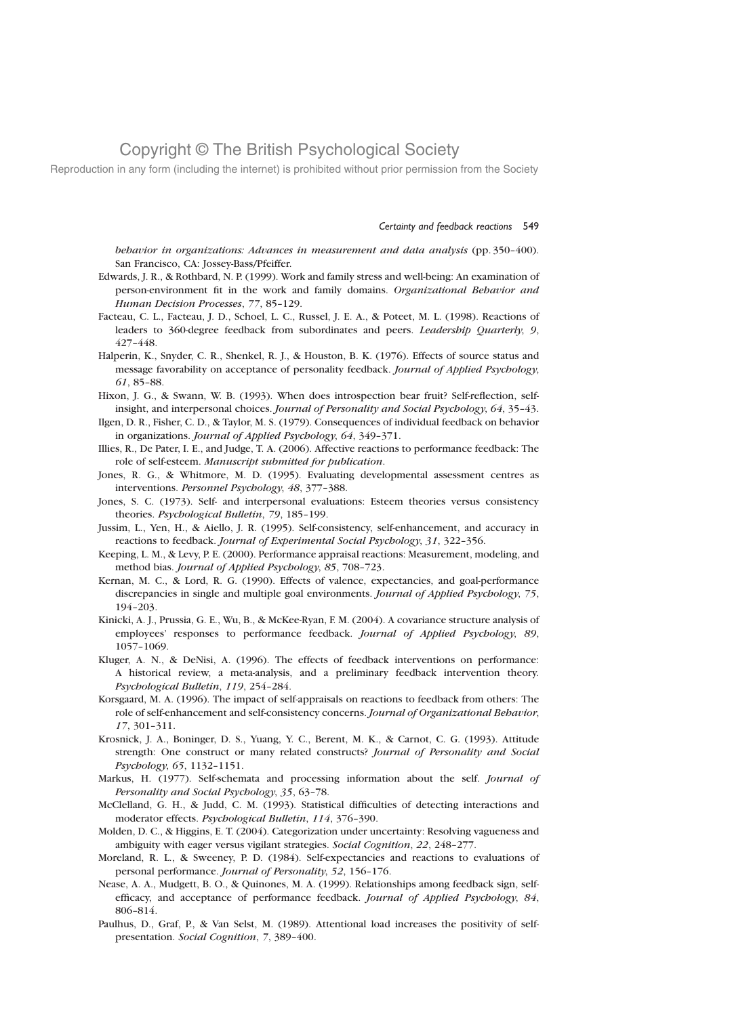Reproduction in any form (including the internet) is prohibited without prior permission from the Society

#### Certainty and feedback reactions 549

behavior in organizations: Advances in measurement and data analysis (pp. 350-400). San Francisco, CA: Jossey-Bass/Pfeiffer.

- Edwards, J. R., & Rothbard, N. P. (1999). Work and family stress and well-being: An examination of person-environment fit in the work and family domains. Organizational Behavior and Human Decision Processes, 77, 85–129.
- Facteau, C. L., Facteau, J. D., Schoel, L. C., Russel, J. E. A., & Poteet, M. L. (1998). Reactions of leaders to 360-degree feedback from subordinates and peers. Leadership Quarterly, 9, 427–448.
- Halperin, K., Snyder, C. R., Shenkel, R. J., & Houston, B. K. (1976). Effects of source status and message favorability on acceptance of personality feedback. Journal of Applied Psychology, 61, 85–88.
- Hixon, J. G., & Swann, W. B. (1993). When does introspection bear fruit? Self-reflection, selfinsight, and interpersonal choices. Journal of Personality and Social Psychology, 64, 35–43.
- Ilgen, D. R., Fisher, C. D., & Taylor, M. S. (1979). Consequences of individual feedback on behavior in organizations. Journal of Applied Psychology, 64, 349–371.
- Illies, R., De Pater, I. E., and Judge, T. A. (2006). Affective reactions to performance feedback: The role of self-esteem. Manuscript submitted for publication.
- Jones, R. G., & Whitmore, M. D. (1995). Evaluating developmental assessment centres as interventions. Personnel Psychology, 48, 377–388.
- Jones, S. C. (1973). Self- and interpersonal evaluations: Esteem theories versus consistency theories. Psychological Bulletin, 79, 185–199.
- Jussim, L., Yen, H., & Aiello, J. R. (1995). Self-consistency, self-enhancement, and accuracy in reactions to feedback. Journal of Experimental Social Psychology, 31, 322–356.
- Keeping, L. M., & Levy, P. E. (2000). Performance appraisal reactions: Measurement, modeling, and method bias. Journal of Applied Psychology, 85, 708–723.
- Kernan, M. C., & Lord, R. G. (1990). Effects of valence, expectancies, and goal-performance discrepancies in single and multiple goal environments. Journal of Applied Psychology, 75, 194–203.
- Kinicki, A. J., Prussia, G. E., Wu, B., & McKee-Ryan, F. M. (2004). A covariance structure analysis of employees' responses to performance feedback. Journal of Applied Psychology, 89, 1057–1069.
- Kluger, A. N., & DeNisi, A. (1996). The effects of feedback interventions on performance: A historical review, a meta-analysis, and a preliminary feedback intervention theory. Psychological Bulletin, 119, 254–284.
- Korsgaard, M. A. (1996). The impact of self-appraisals on reactions to feedback from others: The role of self-enhancement and self-consistency concerns. Journal of Organizational Behavior, 17, 301–311.
- Krosnick, J. A., Boninger, D. S., Yuang, Y. C., Berent, M. K., & Carnot, C. G. (1993). Attitude strength: One construct or many related constructs? Journal of Personality and Social Psychology, 65, 1132–1151.
- Markus, H. (1977). Self-schemata and processing information about the self. Journal of Personality and Social Psychology, 35, 63–78.
- McClelland, G. H., & Judd, C. M. (1993). Statistical difficulties of detecting interactions and moderator effects. Psychological Bulletin, 114, 376–390.
- Molden, D. C., & Higgins, E. T. (2004). Categorization under uncertainty: Resolving vagueness and ambiguity with eager versus vigilant strategies. Social Cognition, 22, 248–277.
- Moreland, R. L., & Sweeney, P. D. (1984). Self-expectancies and reactions to evaluations of personal performance. Journal of Personality, 52, 156–176.
- Nease, A. A., Mudgett, B. O., & Quinones, M. A. (1999). Relationships among feedback sign, selfefficacy, and acceptance of performance feedback. Journal of Applied Psychology, 84, 806–814.
- Paulhus, D., Graf, P., & Van Selst, M. (1989). Attentional load increases the positivity of selfpresentation. Social Cognition, 7, 389–400.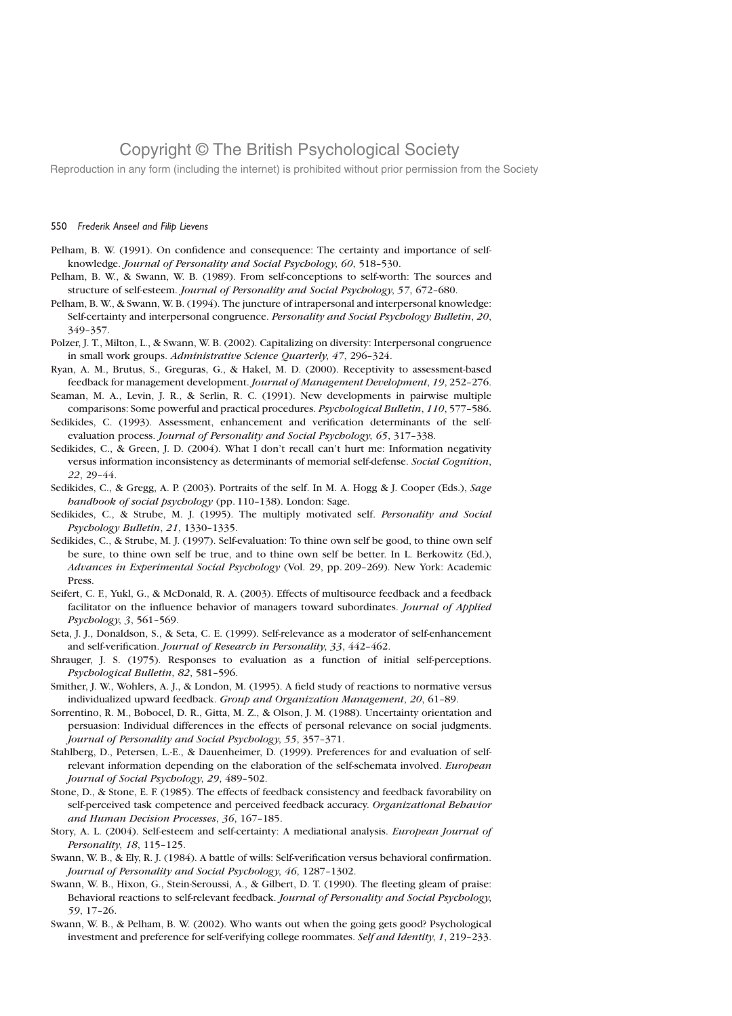Reproduction in any form (including the internet) is prohibited without prior permission from the Society

### 550 Frederik Anseel and Filip Lievens

- Pelham, B. W. (1991). On confidence and consequence: The certainty and importance of selfknowledge. Journal of Personality and Social Psychology, 60, 518–530.
- Pelham, B. W., & Swann, W. B. (1989). From self-conceptions to self-worth: The sources and structure of self-esteem. Journal of Personality and Social Psychology, 57, 672-680.
- Pelham, B. W., & Swann, W. B. (1994). The juncture of intrapersonal and interpersonal knowledge: Self-certainty and interpersonal congruence. Personality and Social Psychology Bulletin, 20, 349–357.
- Polzer, J. T., Milton, L., & Swann, W. B. (2002). Capitalizing on diversity: Interpersonal congruence in small work groups. Administrative Science Quarterly, 47, 296–324.
- Ryan, A. M., Brutus, S., Greguras, G., & Hakel, M. D. (2000). Receptivity to assessment-based feedback for management development. Journal of Management Development, 19, 252–276.
- Seaman, M. A., Levin, J. R., & Serlin, R. C. (1991). New developments in pairwise multiple comparisons: Some powerful and practical procedures. Psychological Bulletin, 110, 577–586.
- Sedikides, C. (1993). Assessment, enhancement and verification determinants of the selfevaluation process. Journal of Personality and Social Psychology, 65, 317–338.
- Sedikides, C., & Green, J. D. (2004). What I don't recall can't hurt me: Information negativity versus information inconsistency as determinants of memorial self-defense. Social Cognition, 22, 29–44.
- Sedikides, C., & Gregg, A. P. (2003). Portraits of the self. In M. A. Hogg & J. Cooper (Eds.), Sage handbook of social psychology (pp. 110–138). London: Sage.
- Sedikides, C., & Strube, M. J. (1995). The multiply motivated self. Personality and Social Psychology Bulletin, 21, 1330–1335.
- Sedikides, C., & Strube, M. J. (1997). Self-evaluation: To thine own self be good, to thine own self be sure, to thine own self be true, and to thine own self be better. In L. Berkowitz (Ed.), Advances in Experimental Social Psychology (Vol. 29, pp. 209–269). New York: Academic Press.
- Seifert, C. F., Yukl, G., & McDonald, R. A. (2003). Effects of multisource feedback and a feedback facilitator on the influence behavior of managers toward subordinates. Journal of Applied Psychology, 3, 561–569.
- Seta, J. J., Donaldson, S., & Seta, C. E. (1999). Self-relevance as a moderator of self-enhancement and self-verification. Journal of Research in Personality, 33, 442–462.
- Shrauger, J. S. (1975). Responses to evaluation as a function of initial self-perceptions. Psychological Bulletin, 82, 581–596.
- Smither, J. W., Wohlers, A. J., & London, M. (1995). A field study of reactions to normative versus individualized upward feedback. Group and Organization Management, 20, 61–89.
- Sorrentino, R. M., Bobocel, D. R., Gitta, M. Z., & Olson, J. M. (1988). Uncertainty orientation and persuasion: Individual differences in the effects of personal relevance on social judgments. Journal of Personality and Social Psychology, 55, 357–371.
- Stahlberg, D., Petersen, L.-E., & Dauenheimer, D. (1999). Preferences for and evaluation of selfrelevant information depending on the elaboration of the self-schemata involved. *European* Journal of Social Psychology, 29, 489–502.
- Stone, D., & Stone, E. F. (1985). The effects of feedback consistency and feedback favorability on self-perceived task competence and perceived feedback accuracy. Organizational Behavior and Human Decision Processes, 36, 167–185.
- Story, A. L. (2004). Self-esteem and self-certainty: A mediational analysis. *European Journal of* Personality, 18, 115–125.
- Swann, W. B., & Ely, R. J. (1984). A battle of wills: Self-verification versus behavioral confirmation. Journal of Personality and Social Psychology, 46, 1287–1302.
- Swann, W. B., Hixon, G., Stein-Seroussi, A., & Gilbert, D. T. (1990). The fleeting gleam of praise: Behavioral reactions to self-relevant feedback. Journal of Personality and Social Psychology, 59, 17–26.
- Swann, W. B., & Pelham, B. W. (2002). Who wants out when the going gets good? Psychological investment and preference for self-verifying college roommates. Self and Identity, 1, 219–233.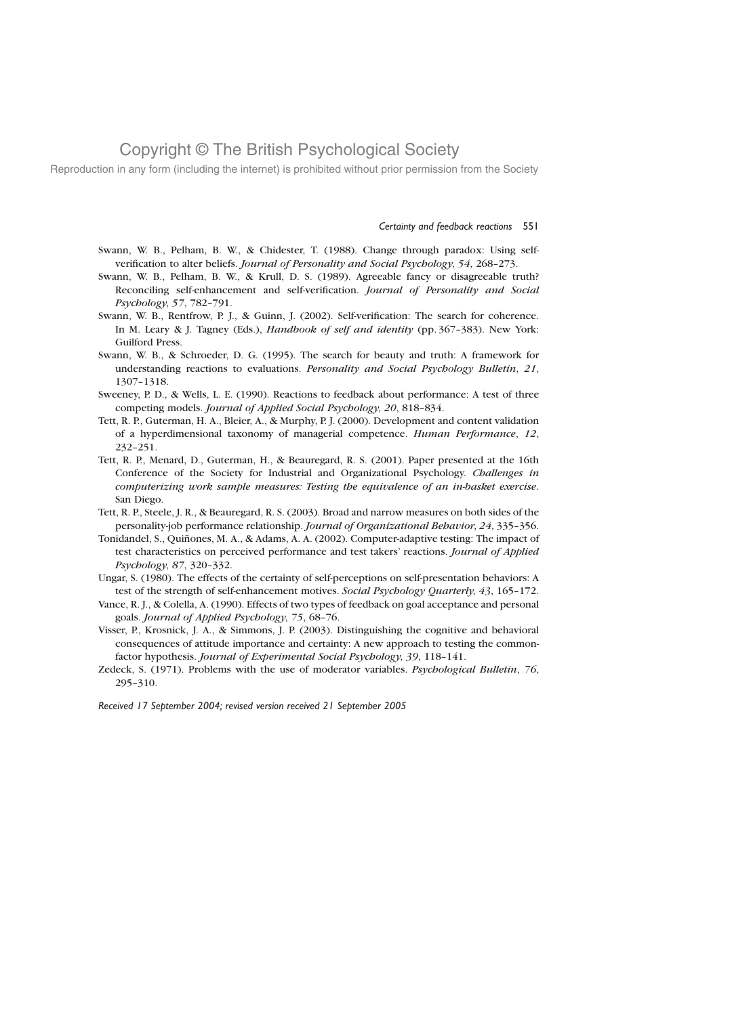Reproduction in any form (including the internet) is prohibited without prior permission from the Society

#### Certainty and feedback reactions 551

- Swann, W. B., Pelham, B. W., & Chidester, T. (1988). Change through paradox: Using selfverification to alter beliefs. Journal of Personality and Social Psychology, 54, 268-273.
- Swann, W. B., Pelham, B. W., & Krull, D. S. (1989). Agreeable fancy or disagreeable truth? Reconciling self-enhancement and self-verification. Journal of Personality and Social Psychology, 57, 782–791.
- Swann, W. B., Rentfrow, P. J., & Guinn, J. (2002). Self-verification: The search for coherence. In M. Leary & J. Tagney (Eds.), *Handbook of self and identity* (pp. 367-383). New York: Guilford Press.
- Swann, W. B., & Schroeder, D. G. (1995). The search for beauty and truth: A framework for understanding reactions to evaluations. Personality and Social Psychology Bulletin, 21, 1307–1318.
- Sweeney, P. D., & Wells, L. E. (1990). Reactions to feedback about performance: A test of three competing models. Journal of Applied Social Psychology, 20, 818–834.
- Tett, R. P., Guterman, H. A., Bleier, A., & Murphy, P. J. (2000). Development and content validation of a hyperdimensional taxonomy of managerial competence. Human Performance, 12, 232–251.
- Tett, R. P., Menard, D., Guterman, H., & Beauregard, R. S. (2001). Paper presented at the 16th Conference of the Society for Industrial and Organizational Psychology. Challenges in computerizing work sample measures: Testing the equivalence of an in-basket exercise. San Diego.
- Tett, R. P., Steele, J. R., & Beauregard, R. S. (2003). Broad and narrow measures on both sides of the personality-job performance relationship. Journal of Organizational Behavior, 24, 335–356.
- Tonidandel, S., Quiñones, M. A., & Adams, A. A. (2002). Computer-adaptive testing: The impact of test characteristics on perceived performance and test takers' reactions. Journal of Applied Psychology, 87, 320–332.
- Ungar, S. (1980). The effects of the certainty of self-perceptions on self-presentation behaviors: A test of the strength of self-enhancement motives. Social Psychology Quarterly, 43, 165-172.
- Vance, R. J., & Colella, A. (1990). Effects of two types of feedback on goal acceptance and personal goals. Journal of Applied Psychology, 75, 68–76.
- Visser, P., Krosnick, J. A., & Simmons, J. P. (2003). Distinguishing the cognitive and behavioral consequences of attitude importance and certainty: A new approach to testing the commonfactor hypothesis. Journal of Experimental Social Psychology, 39, 118–141.
- Zedeck, S. (1971). Problems with the use of moderator variables. Psychological Bulletin, 76, 295–310.

Received 17 September 2004; revised version received 21 September 2005